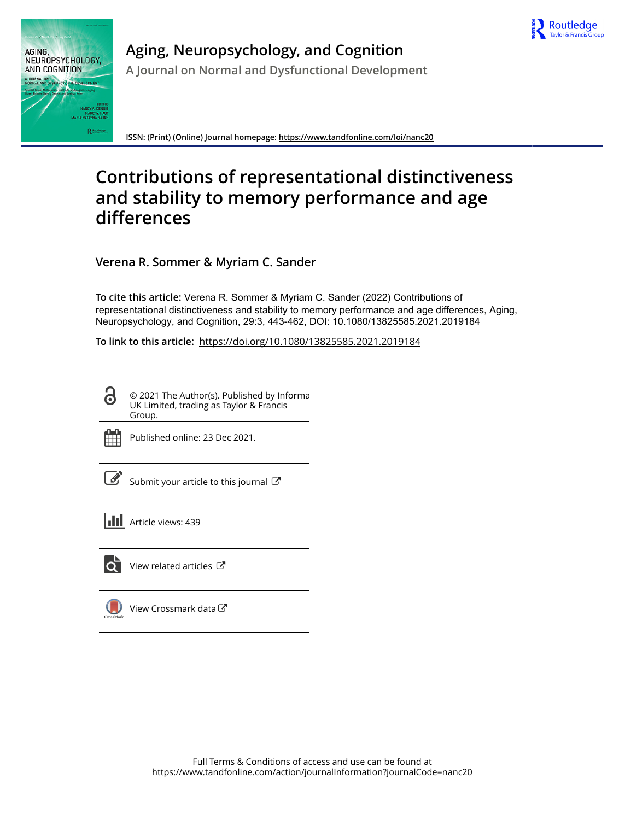



**Aging, Neuropsychology, and Cognition A Journal on Normal and Dysfunctional Development**

**ISSN: (Print) (Online) Journal homepage:<https://www.tandfonline.com/loi/nanc20>**

# **Contributions of representational distinctiveness and stability to memory performance and age differences**

**Verena R. Sommer & Myriam C. Sander**

**To cite this article:** Verena R. Sommer & Myriam C. Sander (2022) Contributions of representational distinctiveness and stability to memory performance and age differences, Aging, Neuropsychology, and Cognition, 29:3, 443-462, DOI: [10.1080/13825585.2021.2019184](https://www.tandfonline.com/action/showCitFormats?doi=10.1080/13825585.2021.2019184)

**To link to this article:** <https://doi.org/10.1080/13825585.2021.2019184>

© 2021 The Author(s). Published by Informa UK Limited, trading as Taylor & Francis Group.



Published online: 23 Dec 2021.

[Submit your article to this journal](https://www.tandfonline.com/action/authorSubmission?journalCode=nanc20&show=instructions)  $\mathbb{Z}$ 

**III** Article views: 439



 $\bullet$  [View related articles](https://www.tandfonline.com/doi/mlt/10.1080/13825585.2021.2019184)  $\circ$ 

[View Crossmark data](http://crossmark.crossref.org/dialog/?doi=10.1080/13825585.2021.2019184&domain=pdf&date_stamp=2021-12-23)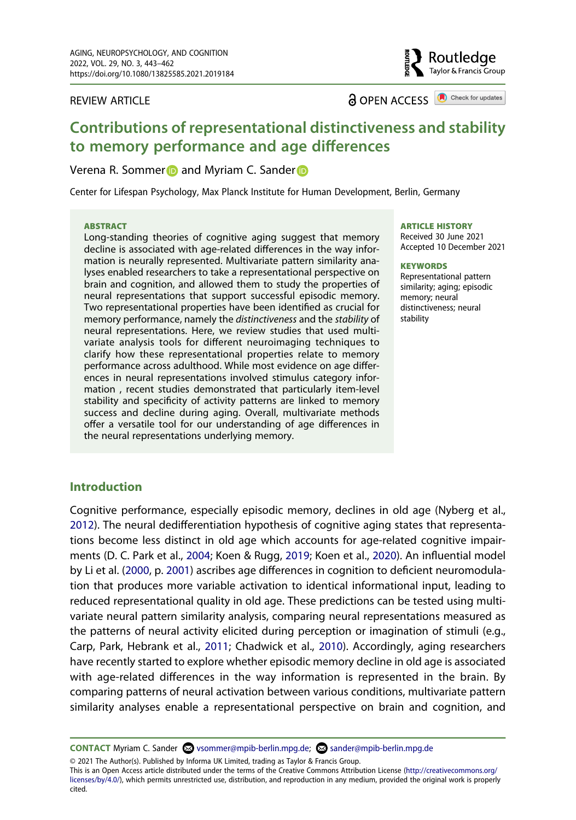REVIEW ARTICLE

**a** OPEN ACCESS **a** Check for updates

Routledae Taylor & Francis Group

# **Contributions of representational distinctiveness and stability to memory performance and age differences**

# Ve[r](http://orcid.org/0000-0001-8387-9855)ena R. Sommer and Myriam C. Sander

Center for Lifespan Psychology, Max Planck Institute for Human Development, Berlin, Germany

#### **ABSTRACT**

Long-standing theories of cognitive aging suggest that memory decline is associated with age-related differences in the way information is neurally represented. Multivariate pattern similarity analyses enabled researchers to take a representational perspective on brain and cognition, and allowed them to study the properties of neural representations that support successful episodic memory. Two representational properties have been identified as crucial for memory performance, namely the *distinctiveness* and the *stability* of neural representations. Here, we review studies that used multivariate analysis tools for different neuroimaging techniques to clarify how these representational properties relate to memory performance across adulthood. While most evidence on age differences in neural representations involved stimulus category information , recent studies demonstrated that particularly item-level stability and specificity of activity patterns are linked to memory success and decline during aging. Overall, multivariate methods offer a versatile tool for our understanding of age differences in the neural representations underlying memory.

#### **ARTICLE HISTORY**

Received 30 June 2021 Accepted 10 December 2021

#### **KEYWORDS**

Representational pattern similarity; aging; episodic memory; neural distinctiveness; neural stability

# **Introduction**

<span id="page-1-3"></span><span id="page-1-2"></span><span id="page-1-1"></span>Cognitive performance, especially episodic memory, declines in old age (Nyberg et al., [2012\)](#page-17-0). The neural dedifferentiation hypothesis of cognitive aging states that representations become less distinct in old age which accounts for age-related cognitive impairments (D. C. Park et al., [2004](#page-17-1); Koen & Rugg, [2019](#page-16-0); Koen et al., [2020\)](#page-16-1). An influential model by Li et al. [\(2000,](#page-17-2) p. [2001\)](#page-15-0) ascribes age differences in cognition to deficient neuromodulation that produces more variable activation to identical informational input, leading to reduced representational quality in old age. These predictions can be tested using multivariate neural pattern similarity analysis, comparing neural representations measured as the patterns of neural activity elicited during perception or imagination of stimuli (e.g., Carp, Park, Hebrank et al., [2011;](#page-13-0) Chadwick et al., [2010\)](#page-13-1). Accordingly, aging researchers have recently started to explore whether episodic memory decline in old age is associated with age-related differences in the way information is represented in the brain. By comparing patterns of neural activation between various conditions, multivariate pattern similarity analyses enable a representational perspective on brain and cognition, and

© 2021 The Author(s). Published by Informa UK Limited, trading as Taylor & Francis Group.

This is an Open Access article distributed under the terms of the Creative Commons Attribution License (http://creativecommons.org/ licenses/by/4.0/), which permits unrestricted use, distribution, and reproduction in any medium, provided the original work is properly cited.

<span id="page-1-0"></span>**CONTACT** Myriam C. Sander **⊗** vsommer@mpib-berlin.mpg.de; **⊗** sander@mpib-berlin.mpg.de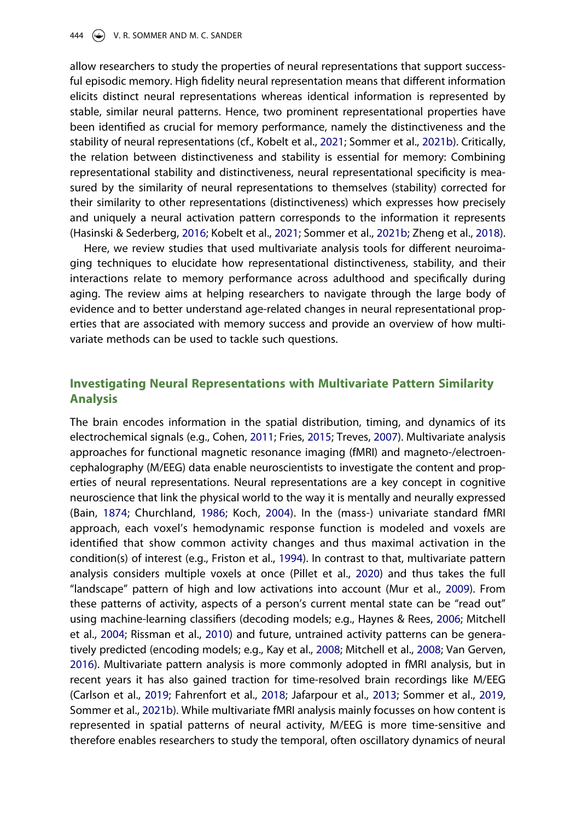allow researchers to study the properties of neural representations that support successful episodic memory. High fidelity neural representation means that different information elicits distinct neural representations whereas identical information is represented by stable, similar neural patterns. Hence, two prominent representational properties have been identified as crucial for memory performance, namely the distinctiveness and the stability of neural representations (cf., Kobelt et al., [2021;](#page-16-2) Sommer et al., [2021b\)](#page-19-0). Critically, the relation between distinctiveness and stability is essential for memory: Combining representational stability and distinctiveness, neural representational specificity is measured by the similarity of neural representations to themselves (stability) corrected for their similarity to other representations (distinctiveness) which expresses how precisely and uniquely a neural activation pattern corresponds to the information it represents (Hasinski & Sederberg, [2016](#page-15-1); Kobelt et al., [2021;](#page-16-2) Sommer et al., [2021b;](#page-19-0) Zheng et al., [2018](#page-20-0)).

<span id="page-2-4"></span>Here, we review studies that used multivariate analysis tools for different neuroimaging techniques to elucidate how representational distinctiveness, stability, and their interactions relate to memory performance across adulthood and specifically during aging. The review aims at helping researchers to navigate through the large body of evidence and to better understand age-related changes in neural representational properties that are associated with memory success and provide an overview of how multivariate methods can be used to tackle such questions.

# **Investigating Neural Representations with Multivariate Pattern Similarity Analysis**

<span id="page-2-10"></span><span id="page-2-9"></span><span id="page-2-8"></span><span id="page-2-7"></span><span id="page-2-6"></span><span id="page-2-5"></span><span id="page-2-3"></span><span id="page-2-2"></span><span id="page-2-1"></span><span id="page-2-0"></span>The brain encodes information in the spatial distribution, timing, and dynamics of its electrochemical signals (e.g., Cohen, [2011;](#page-14-0) Fries, [2015;](#page-15-2) Treves, [2007\)](#page-19-1). Multivariate analysis approaches for functional magnetic resonance imaging (fMRI) and magneto-/electroencephalography (M/EEG) data enable neuroscientists to investigate the content and properties of neural representations. Neural representations are a key concept in cognitive neuroscience that link the physical world to the way it is mentally and neurally expressed (Bain, [1874](#page-13-2); Churchland, [1986;](#page-14-1) Koch, [2004\)](#page-16-3). In the (mass-) univariate standard fMRI approach, each voxel's hemodynamic response function is modeled and voxels are identified that show common activity changes and thus maximal activation in the condition(s) of interest (e.g., Friston et al., [1994](#page-15-3)). In contrast to that, multivariate pattern analysis considers multiple voxels at once (Pillet et al., [2020](#page-18-0)) and thus takes the full "landscape" pattern of high and low activations into account (Mur et al., [2009](#page-17-3)). From these patterns of activity, aspects of a person's current mental state can be "read out" using machine-learning classifiers (decoding models; e.g., Haynes & Rees, [2006;](#page-15-4) Mitchell et al., [2004;](#page-17-4) Rissman et al., [2010](#page-18-1)) and future, untrained activity patterns can be generatively predicted (encoding models; e.g., Kay et al., [2008](#page-16-4); Mitchell et al., [2008;](#page-17-5) Van Gerven, [2016\)](#page-19-2). Multivariate pattern analysis is more commonly adopted in fMRI analysis, but in recent years it has also gained traction for time-resolved brain recordings like M/EEG (Carlson et al., [2019;](#page-13-3) Fahrenfort et al., [2018](#page-14-2); Jafarpour et al., [2013;](#page-15-5) Sommer et al., [2019](#page-19-3), Sommer et al., [2021b](#page-19-0)). While multivariate fMRI analysis mainly focusses on how content is represented in spatial patterns of neural activity, M/EEG is more time-sensitive and therefore enables researchers to study the temporal, often oscillatory dynamics of neural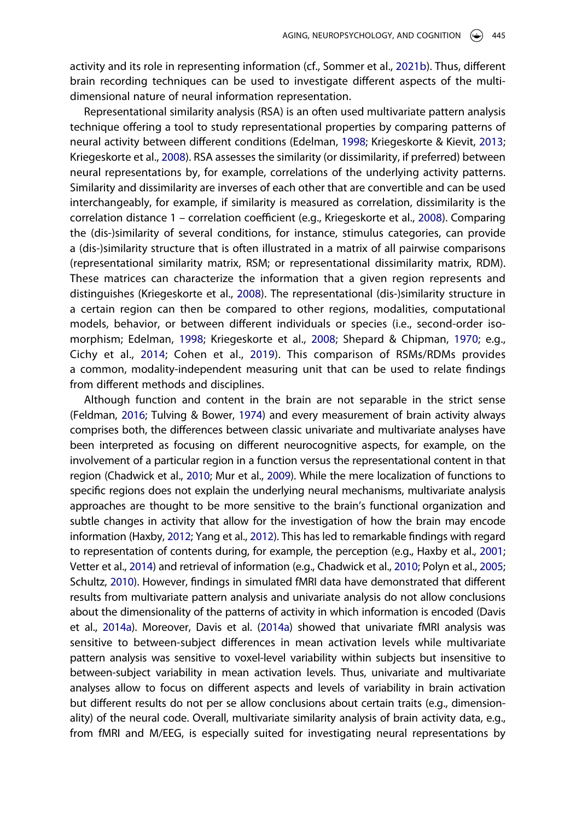activity and its role in representing information (cf., Sommer et al., [2021b](#page-19-0)). Thus, different brain recording techniques can be used to investigate different aspects of the multidimensional nature of neural information representation.

<span id="page-3-5"></span>Representational similarity analysis (RSA) is an often used multivariate pattern analysis technique offering a tool to study representational properties by comparing patterns of neural activity between different conditions (Edelman, [1998](#page-14-3); Kriegeskorte & Kievit, [2013](#page-16-5); Kriegeskorte et al., [2008\)](#page-16-6). RSA assesses the similarity (or dissimilarity, if preferred) between neural representations by, for example, correlations of the underlying activity patterns. Similarity and dissimilarity are inverses of each other that are convertible and can be used interchangeably, for example, if similarity is measured as correlation, dissimilarity is the correlation distance 1 – correlation coefficient (e.g., Kriegeskorte et al., [2008\)](#page-16-6). Comparing the (dis-)similarity of several conditions, for instance, stimulus categories, can provide a (dis-)similarity structure that is often illustrated in a matrix of all pairwise comparisons (representational similarity matrix, RSM; or representational dissimilarity matrix, RDM). These matrices can characterize the information that a given region represents and distinguishes (Kriegeskorte et al., [2008\)](#page-16-6). The representational (dis-)similarity structure in a certain region can then be compared to other regions, modalities, computational models, behavior, or between different individuals or species (i.e., second-order isomorphism; Edelman, [1998](#page-14-3); Kriegeskorte et al., [2008](#page-16-6); Shepard & Chipman, [1970;](#page-18-2) e.g., Cichy et al., [2014;](#page-14-4) Cohen et al., [2019](#page-14-5)). This comparison of RSMs/RDMs provides a common, modality-independent measuring unit that can be used to relate findings from different methods and disciplines.

<span id="page-3-7"></span><span id="page-3-6"></span><span id="page-3-4"></span><span id="page-3-3"></span><span id="page-3-2"></span><span id="page-3-1"></span><span id="page-3-0"></span>Although function and content in the brain are not separable in the strict sense (Feldman, [2016](#page-15-6); Tulving & Bower, [1974\)](#page-19-4) and every measurement of brain activity always comprises both, the differences between classic univariate and multivariate analyses have been interpreted as focusing on different neurocognitive aspects, for example, on the involvement of a particular region in a function versus the representational content in that region (Chadwick et al., [2010;](#page-13-1) Mur et al., [2009\)](#page-17-3). While the mere localization of functions to specific regions does not explain the underlying neural mechanisms, multivariate analysis approaches are thought to be more sensitive to the brain's functional organization and subtle changes in activity that allow for the investigation of how the brain may encode information (Haxby, [2012](#page-15-7); Yang et al., [2012](#page-20-1)). This has led to remarkable findings with regard to representation of contents during, for example, the perception (e.g., Haxby et al., [2001](#page-15-0); Vetter et al., [2014\)](#page-19-5) and retrieval of information (e.g., Chadwick et al., [2010;](#page-13-1) Polyn et al., [2005](#page-18-3); Schultz, [2010\)](#page-18-4). However, findings in simulated fMRI data have demonstrated that different results from multivariate pattern analysis and univariate analysis do not allow conclusions about the dimensionality of the patterns of activity in which information is encoded (Davis et al., [2014a\)](#page-14-6). Moreover, Davis et al. [\(2014a](#page-14-6)) showed that univariate fMRI analysis was sensitive to between-subject differences in mean activation levels while multivariate pattern analysis was sensitive to voxel-level variability within subjects but insensitive to between-subject variability in mean activation levels. Thus, univariate and multivariate analyses allow to focus on different aspects and levels of variability in brain activation but different results do not per se allow conclusions about certain traits (e.g., dimensionality) of the neural code. Overall, multivariate similarity analysis of brain activity data, e.g., from fMRI and M/EEG, is especially suited for investigating neural representations by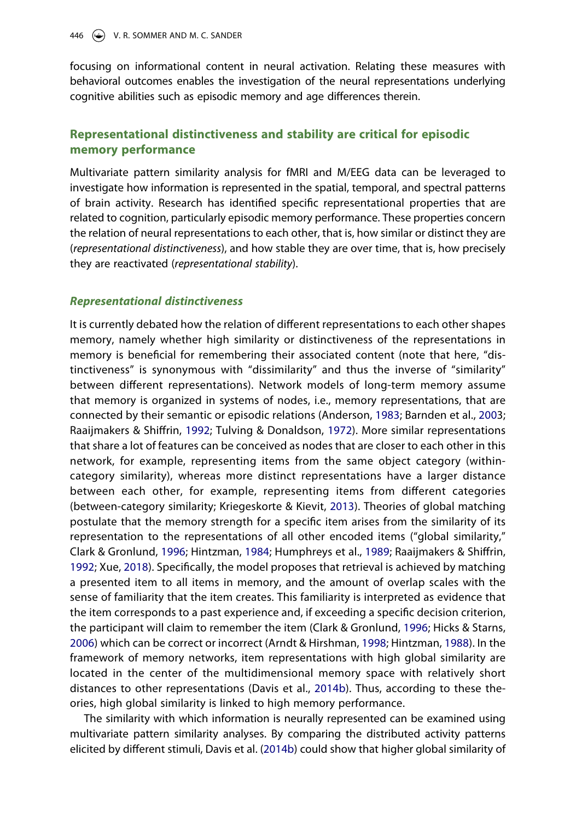focusing on informational content in neural activation. Relating these measures with behavioral outcomes enables the investigation of the neural representations underlying cognitive abilities such as episodic memory and age differences therein.

# **Representational distinctiveness and stability are critical for episodic memory performance**

Multivariate pattern similarity analysis for fMRI and M/EEG data can be leveraged to investigate how information is represented in the spatial, temporal, and spectral patterns of brain activity. Research has identified specific representational properties that are related to cognition, particularly episodic memory performance. These properties concern the relation of neural representations to each other, that is, how similar or distinct they are (*representational distinctiveness*), and how stable they are over time, that is, how precisely they are reactivated (*representational stability*).

### *Representational distinctiveness*

<span id="page-4-5"></span><span id="page-4-0"></span>It is currently debated how the relation of different representations to each other shapes memory, namely whether high similarity or distinctiveness of the representations in memory is beneficial for remembering their associated content (note that here, "distinctiveness" is synonymous with "dissimilarity" and thus the inverse of "similarity" between different representations). Network models of long-term memory assume that memory is organized in systems of nodes, i.e., memory representations, that are connected by their semantic or episodic relations (Anderson, [1983](#page-13-4); Barnden et al., [2003](#page-13-5); Raaijmakers & Shiffrin, [1992;](#page-18-5) Tulving & Donaldson, [1972\)](#page-19-6). More similar representations that share a lot of features can be conceived as nodes that are closer to each other in this network, for example, representing items from the same object category (withincategory similarity), whereas more distinct representations have a larger distance between each other, for example, representing items from different categories (between-category similarity; Kriegeskorte & Kievit, [2013\)](#page-16-5). Theories of global matching postulate that the memory strength for a specific item arises from the similarity of its representation to the representations of all other encoded items ("global similarity," Clark & Gronlund, [1996;](#page-14-7) Hintzman, [1984;](#page-15-8) Humphreys et al., [1989;](#page-15-9) Raaijmakers & Shiffrin, [1992;](#page-18-5) Xue, [2018](#page-20-2)). Specifically, the model proposes that retrieval is achieved by matching a presented item to all items in memory, and the amount of overlap scales with the sense of familiarity that the item creates. This familiarity is interpreted as evidence that the item corresponds to a past experience and, if exceeding a specific decision criterion, the participant will claim to remember the item (Clark & Gronlund, [1996;](#page-14-7) Hicks & Starns, [2006\)](#page-15-10) which can be correct or incorrect (Arndt & Hirshman, [1998;](#page-13-6) Hintzman, [1988\)](#page-15-11). In the framework of memory networks, item representations with high global similarity are located in the center of the multidimensional memory space with relatively short distances to other representations (Davis et al., [2014b](#page-14-8)). Thus, according to these theories, high global similarity is linked to high memory performance.

<span id="page-4-6"></span><span id="page-4-4"></span><span id="page-4-3"></span><span id="page-4-2"></span><span id="page-4-1"></span>The similarity with which information is neurally represented can be examined using multivariate pattern similarity analyses. By comparing the distributed activity patterns elicited by different stimuli, Davis et al. ([2014b\)](#page-14-8) could show that higher global similarity of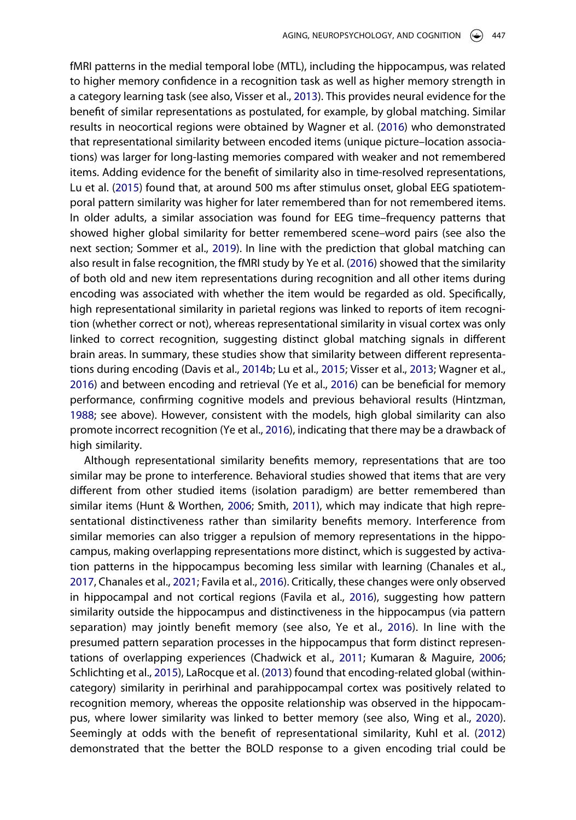fMRI patterns in the medial temporal lobe (MTL), including the hippocampus, was related to higher memory confidence in a recognition task as well as higher memory strength in a category learning task (see also, Visser et al., [2013](#page-19-7)). This provides neural evidence for the benefit of similar representations as postulated, for example, by global matching. Similar results in neocortical regions were obtained by Wagner et al. ([2016](#page-20-3)) who demonstrated that representational similarity between encoded items (unique picture–location associations) was larger for long-lasting memories compared with weaker and not remembered items. Adding evidence for the benefit of similarity also in time-resolved representations, Lu et al. ([2015](#page-17-6)) found that, at around 500 ms after stimulus onset, global EEG spatiotemporal pattern similarity was higher for later remembered than for not remembered items. In older adults, a similar association was found for EEG time–frequency patterns that showed higher global similarity for better remembered scene–word pairs (see also the next section; Sommer et al., [2019](#page-19-3)). In line with the prediction that global matching can also result in false recognition, the fMRI study by Ye et al. ([2016](#page-20-4)) showed that the similarity of both old and new item representations during recognition and all other items during encoding was associated with whether the item would be regarded as old. Specifically, high representational similarity in parietal regions was linked to reports of item recognition (whether correct or not), whereas representational similarity in visual cortex was only linked to correct recognition, suggesting distinct global matching signals in different brain areas. In summary, these studies show that similarity between different representations during encoding (Davis et al., [2014b;](#page-14-8) Lu et al., [2015;](#page-17-6) Visser et al., [2013;](#page-19-7) Wagner et al., [2016\)](#page-20-3) and between encoding and retrieval (Ye et al., [2016\)](#page-20-4) can be beneficial for memory performance, confirming cognitive models and previous behavioral results (Hintzman, [1988;](#page-15-11) see above). However, consistent with the models, high global similarity can also promote incorrect recognition (Ye et al., [2016](#page-20-4)), indicating that there may be a drawback of high similarity.

<span id="page-5-8"></span><span id="page-5-7"></span><span id="page-5-6"></span><span id="page-5-5"></span><span id="page-5-4"></span><span id="page-5-3"></span><span id="page-5-2"></span><span id="page-5-1"></span><span id="page-5-0"></span>Although representational similarity benefits memory, representations that are too similar may be prone to interference. Behavioral studies showed that items that are very different from other studied items (isolation paradigm) are better remembered than similar items (Hunt & Worthen, [2006](#page-15-12); Smith, [2011](#page-19-8)), which may indicate that high representational distinctiveness rather than similarity benefits memory. Interference from similar memories can also trigger a repulsion of memory representations in the hippocampus, making overlapping representations more distinct, which is suggested by activation patterns in the hippocampus becoming less similar with learning (Chanales et al., [2017,](#page-13-7) Chanales et al., [2021;](#page-16-2) Favila et al., [2016\)](#page-14-9). Critically, these changes were only observed in hippocampal and not cortical regions (Favila et al., [2016\)](#page-14-9), suggesting how pattern similarity outside the hippocampus and distinctiveness in the hippocampus (via pattern separation) may jointly benefit memory (see also, Ye et al., [2016](#page-20-4)). In line with the presumed pattern separation processes in the hippocampus that form distinct representations of overlapping experiences (Chadwick et al., [2011](#page-13-8); Kumaran & Maguire, [2006](#page-16-7); Schlichting et al., [2015\)](#page-18-6), LaRocque et al. ([2013](#page-16-8)) found that encoding-related global (withincategory) similarity in perirhinal and parahippocampal cortex was positively related to recognition memory, whereas the opposite relationship was observed in the hippocampus, where lower similarity was linked to better memory (see also, Wing et al., [2020](#page-20-5)). Seemingly at odds with the benefit of representational similarity, Kuhl et al. [\(2012](#page-16-9)) demonstrated that the better the BOLD response to a given encoding trial could be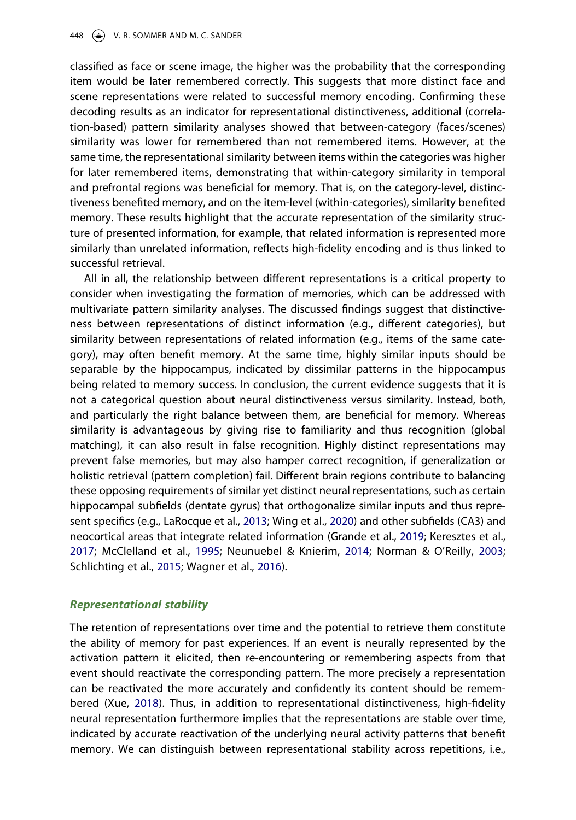classified as face or scene image, the higher was the probability that the corresponding item would be later remembered correctly. This suggests that more distinct face and scene representations were related to successful memory encoding. Confirming these decoding results as an indicator for representational distinctiveness, additional (correlation-based) pattern similarity analyses showed that between-category (faces/scenes) similarity was lower for remembered than not remembered items. However, at the same time, the representational similarity between items within the categories was higher for later remembered items, demonstrating that within-category similarity in temporal and prefrontal regions was beneficial for memory. That is, on the category-level, distinctiveness benefited memory, and on the item-level (within-categories), similarity benefited memory. These results highlight that the accurate representation of the similarity structure of presented information, for example, that related information is represented more similarly than unrelated information, reflects high-fidelity encoding and is thus linked to successful retrieval.

All in all, the relationship between different representations is a critical property to consider when investigating the formation of memories, which can be addressed with multivariate pattern similarity analyses. The discussed findings suggest that distinctiveness between representations of distinct information (e.g., different categories), but similarity between representations of related information (e.g., items of the same category), may often benefit memory. At the same time, highly similar inputs should be separable by the hippocampus, indicated by dissimilar patterns in the hippocampus being related to memory success. In conclusion, the current evidence suggests that it is not a categorical question about neural distinctiveness versus similarity. Instead, both, and particularly the right balance between them, are beneficial for memory. Whereas similarity is advantageous by giving rise to familiarity and thus recognition (global matching), it can also result in false recognition. Highly distinct representations may prevent false memories, but may also hamper correct recognition, if generalization or holistic retrieval (pattern completion) fail. Different brain regions contribute to balancing these opposing requirements of similar yet distinct neural representations, such as certain hippocampal subfields (dentate gyrus) that orthogonalize similar inputs and thus represent specifics (e.g., LaRocque et al., [2013;](#page-16-8) Wing et al., [2020](#page-20-5)) and other subfields (CA3) and neocortical areas that integrate related information (Grande et al., [2019](#page-15-13); Keresztes et al., [2017;](#page-16-10) McClelland et al., [1995](#page-17-7); Neunuebel & Knierim, [2014](#page-17-8); Norman & O'Reilly, [2003](#page-17-9); Schlichting et al., [2015](#page-18-6); Wagner et al., [2016](#page-20-3)).

## <span id="page-6-1"></span><span id="page-6-0"></span>*Representational stability*

The retention of representations over time and the potential to retrieve them constitute the ability of memory for past experiences. If an event is neurally represented by the activation pattern it elicited, then re-encountering or remembering aspects from that event should reactivate the corresponding pattern. The more precisely a representation can be reactivated the more accurately and confidently its content should be remembered (Xue, [2018](#page-20-2)). Thus, in addition to representational distinctiveness, high-fidelity neural representation furthermore implies that the representations are stable over time, indicated by accurate reactivation of the underlying neural activity patterns that benefit memory. We can distinguish between representational stability across repetitions, i.e.,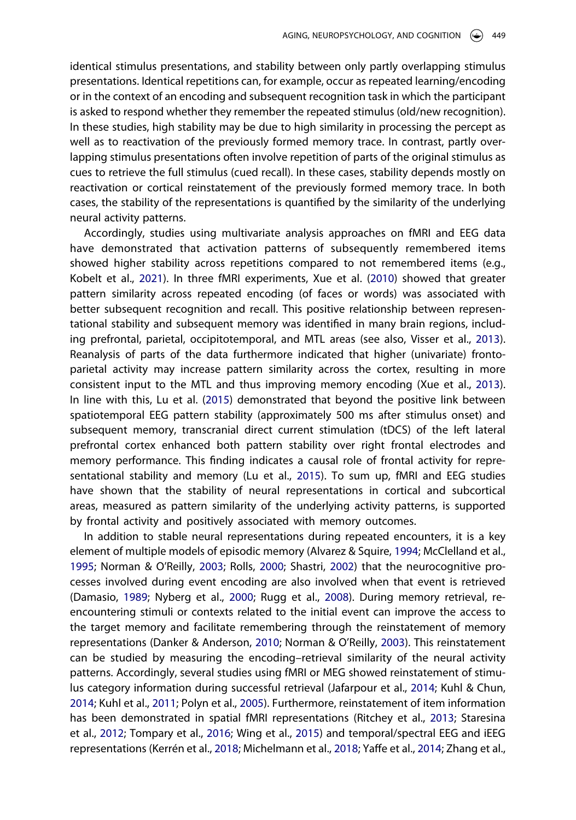identical stimulus presentations, and stability between only partly overlapping stimulus presentations. Identical repetitions can, for example, occur as repeated learning/encoding or in the context of an encoding and subsequent recognition task in which the participant is asked to respond whether they remember the repeated stimulus (old/new recognition). In these studies, high stability may be due to high similarity in processing the percept as well as to reactivation of the previously formed memory trace. In contrast, partly overlapping stimulus presentations often involve repetition of parts of the original stimulus as cues to retrieve the full stimulus (cued recall). In these cases, stability depends mostly on reactivation or cortical reinstatement of the previously formed memory trace. In both cases, the stability of the representations is quantified by the similarity of the underlying neural activity patterns.

<span id="page-7-10"></span><span id="page-7-9"></span>Accordingly, studies using multivariate analysis approaches on fMRI and EEG data have demonstrated that activation patterns of subsequently remembered items showed higher stability across repetitions compared to not remembered items (e.g., Kobelt et al., [2021\)](#page-16-2). In three fMRI experiments, Xue et al. [\(2010\)](#page-20-6) showed that greater pattern similarity across repeated encoding (of faces or words) was associated with better subsequent recognition and recall. This positive relationship between representational stability and subsequent memory was identified in many brain regions, including prefrontal, parietal, occipitotemporal, and MTL areas (see also, Visser et al., [2013](#page-19-7)). Reanalysis of parts of the data furthermore indicated that higher (univariate) frontoparietal activity may increase pattern similarity across the cortex, resulting in more consistent input to the MTL and thus improving memory encoding (Xue et al., [2013](#page-20-7)). In line with this, Lu et al. [\(2015\)](#page-17-6) demonstrated that beyond the positive link between spatiotemporal EEG pattern stability (approximately 500 ms after stimulus onset) and subsequent memory, transcranial direct current stimulation (tDCS) of the left lateral prefrontal cortex enhanced both pattern stability over right frontal electrodes and memory performance. This finding indicates a causal role of frontal activity for representational stability and memory (Lu et al., [2015\)](#page-17-6). To sum up, fMRI and EEG studies have shown that the stability of neural representations in cortical and subcortical areas, measured as pattern similarity of the underlying activity patterns, is supported by frontal activity and positively associated with memory outcomes.

<span id="page-7-8"></span><span id="page-7-7"></span><span id="page-7-6"></span><span id="page-7-5"></span><span id="page-7-4"></span><span id="page-7-3"></span><span id="page-7-2"></span><span id="page-7-1"></span><span id="page-7-0"></span>In addition to stable neural representations during repeated encounters, it is a key element of multiple models of episodic memory (Alvarez & Squire, [1994](#page-13-9); McClelland et al., [1995;](#page-17-7) Norman & O'Reilly, [2003](#page-17-9); Rolls, [2000;](#page-18-7) Shastri, [2002](#page-18-8)) that the neurocognitive processes involved during event encoding are also involved when that event is retrieved (Damasio, [1989](#page-14-10); Nyberg et al., [2000](#page-17-10); Rugg et al., [2008\)](#page-18-9). During memory retrieval, reencountering stimuli or contexts related to the initial event can improve the access to the target memory and facilitate remembering through the reinstatement of memory representations (Danker & Anderson, [2010](#page-14-11); Norman & O'Reilly, [2003\)](#page-17-9). This reinstatement can be studied by measuring the encoding–retrieval similarity of the neural activity patterns. Accordingly, several studies using fMRI or MEG showed reinstatement of stimulus category information during successful retrieval (Jafarpour et al., [2014](#page-15-14); Kuhl & Chun, [2014;](#page-16-11) Kuhl et al., [2011;](#page-16-12) Polyn et al., [2005\)](#page-18-3). Furthermore, reinstatement of item information has been demonstrated in spatial fMRI representations (Ritchey et al., [2013](#page-18-10); Staresina et al., [2012](#page-19-9); Tompary et al., [2016;](#page-19-10) Wing et al., [2015\)](#page-20-8) and temporal/spectral EEG and iEEG representations (Kerrén et al., [2018](#page-16-13); Michelmann et al., [2018;](#page-17-11) Yaffe et al., [2014](#page-20-9); Zhang et al.,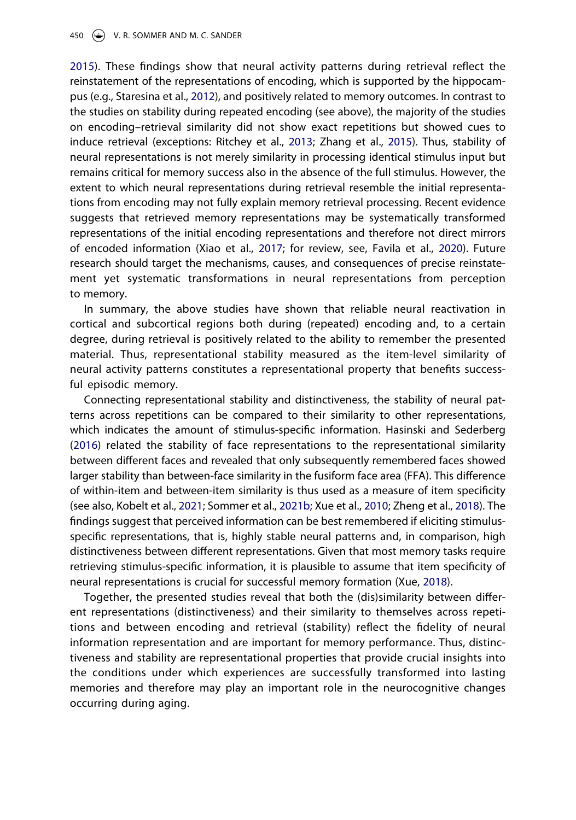[2015\)](#page-20-10). These findings show that neural activity patterns during retrieval reflect the reinstatement of the representations of encoding, which is supported by the hippocampus (e.g., Staresina et al., [2012](#page-19-9)), and positively related to memory outcomes. In contrast to the studies on stability during repeated encoding (see above), the majority of the studies on encoding–retrieval similarity did not show exact repetitions but showed cues to induce retrieval (exceptions: Ritchey et al., [2013;](#page-18-10) Zhang et al., [2015](#page-20-10)). Thus, stability of neural representations is not merely similarity in processing identical stimulus input but remains critical for memory success also in the absence of the full stimulus. However, the extent to which neural representations during retrieval resemble the initial representations from encoding may not fully explain memory retrieval processing. Recent evidence suggests that retrieved memory representations may be systematically transformed representations of the initial encoding representations and therefore not direct mirrors of encoded information (Xiao et al., [2017](#page-20-11); for review, see, Favila et al., [2020](#page-14-12)). Future research should target the mechanisms, causes, and consequences of precise reinstatement yet systematic transformations in neural representations from perception to memory.

<span id="page-8-0"></span>In summary, the above studies have shown that reliable neural reactivation in cortical and subcortical regions both during (repeated) encoding and, to a certain degree, during retrieval is positively related to the ability to remember the presented material. Thus, representational stability measured as the item-level similarity of neural activity patterns constitutes a representational property that benefits successful episodic memory.

Connecting representational stability and distinctiveness, the stability of neural patterns across repetitions can be compared to their similarity to other representations, which indicates the amount of stimulus-specific information. Hasinski and Sederberg ([2016\)](#page-15-1) related the stability of face representations to the representational similarity between different faces and revealed that only subsequently remembered faces showed larger stability than between-face similarity in the fusiform face area (FFA). This difference of within-item and between-item similarity is thus used as a measure of item specificity (see also, Kobelt et al., [2021;](#page-16-2) Sommer et al., [2021b;](#page-19-0) Xue et al., [2010;](#page-20-6) Zheng et al., [2018\)](#page-20-0). The findings suggest that perceived information can be best remembered if eliciting stimulusspecific representations, that is, highly stable neural patterns and, in comparison, high distinctiveness between different representations. Given that most memory tasks require retrieving stimulus-specific information, it is plausible to assume that item specificity of neural representations is crucial for successful memory formation (Xue, [2018](#page-20-2)).

Together, the presented studies reveal that both the (dis)similarity between different representations (distinctiveness) and their similarity to themselves across repetitions and between encoding and retrieval (stability) reflect the fidelity of neural information representation and are important for memory performance. Thus, distinctiveness and stability are representational properties that provide crucial insights into the conditions under which experiences are successfully transformed into lasting memories and therefore may play an important role in the neurocognitive changes occurring during aging.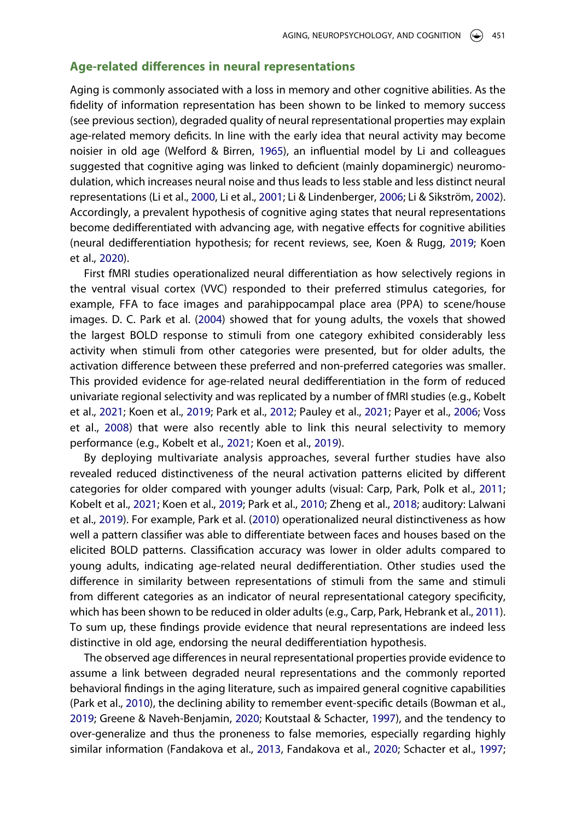# **Age-related differences in neural representations**

<span id="page-9-9"></span>Aging is commonly associated with a loss in memory and other cognitive abilities. As the fidelity of information representation has been shown to be linked to memory success (see previous section), degraded quality of neural representational properties may explain age-related memory deficits. In line with the early idea that neural activity may become noisier in old age (Welford & Birren, [1965\)](#page-20-12), an influential model by Li and colleagues suggested that cognitive aging was linked to deficient (mainly dopaminergic) neuromodulation, which increases neural noise and thus leads to less stable and less distinct neural representations (Li et al., [2000](#page-17-2), Li et al., [2001](#page-15-0); Li & Lindenberger, [2006](#page-17-12); Li & Sikström, [2002](#page-17-13)). Accordingly, a prevalent hypothesis of cognitive aging states that neural representations become dedifferentiated with advancing age, with negative effects for cognitive abilities (neural dedifferentiation hypothesis; for recent reviews, see, Koen & Rugg, [2019;](#page-16-0) Koen et al., [2020\)](#page-16-1).

<span id="page-9-6"></span>First fMRI studies operationalized neural differentiation as how selectively regions in the ventral visual cortex (VVC) responded to their preferred stimulus categories, for example, FFA to face images and parahippocampal place area (PPA) to scene/house images. D. C. Park et al. ([2004](#page-17-1)) showed that for young adults, the voxels that showed the largest BOLD response to stimuli from one category exhibited considerably less activity when stimuli from other categories were presented, but for older adults, the activation difference between these preferred and non-preferred categories was smaller. This provided evidence for age-related neural dedifferentiation in the form of reduced univariate regional selectivity and was replicated by a number of fMRI studies (e.g., Kobelt et al., [2021;](#page-16-2) Koen et al., [2019](#page-16-14); Park et al., [2012;](#page-18-11) Pauley et al., [2021;](#page-18-12) Payer et al., [2006](#page-18-13); Voss et al., [2008\)](#page-19-11) that were also recently able to link this neural selectivity to memory performance (e.g., Kobelt et al., [2021;](#page-16-2) Koen et al., [2019\)](#page-16-14).

<span id="page-9-8"></span><span id="page-9-7"></span><span id="page-9-5"></span><span id="page-9-4"></span><span id="page-9-1"></span>By deploying multivariate analysis approaches, several further studies have also revealed reduced distinctiveness of the neural activation patterns elicited by different categories for older compared with younger adults (visual: Carp, Park, Polk et al., [2011](#page-13-10); Kobelt et al., [2021;](#page-16-2) Koen et al., [2019](#page-16-14); Park et al., [2010](#page-18-14); Zheng et al., [2018](#page-20-0); auditory: Lalwani et al., [2019](#page-16-15)). For example, Park et al. [\(2010\)](#page-18-14) operationalized neural distinctiveness as how well a pattern classifier was able to differentiate between faces and houses based on the elicited BOLD patterns. Classification accuracy was lower in older adults compared to young adults, indicating age-related neural dedifferentiation. Other studies used the difference in similarity between representations of stimuli from the same and stimuli from different categories as an indicator of neural representational category specificity, which has been shown to be reduced in older adults (e.g., Carp, Park, Hebrank et al., [2011](#page-13-0)). To sum up, these findings provide evidence that neural representations are indeed less distinctive in old age, endorsing the neural dedifferentiation hypothesis.

<span id="page-9-3"></span><span id="page-9-2"></span><span id="page-9-0"></span>The observed age differences in neural representational properties provide evidence to assume a link between degraded neural representations and the commonly reported behavioral findings in the aging literature, such as impaired general cognitive capabilities (Park et al., [2010](#page-18-14)), the declining ability to remember event-specific details (Bowman et al., [2019;](#page-13-11) Greene & Naveh-Benjamin, [2020](#page-15-15); Koutstaal & Schacter, [1997](#page-16-16)), and the tendency to over-generalize and thus the proneness to false memories, especially regarding highly similar information (Fandakova et al., [2013,](#page-14-13) Fandakova et al., [2020;](#page-16-1) Schacter et al., [1997](#page-18-15);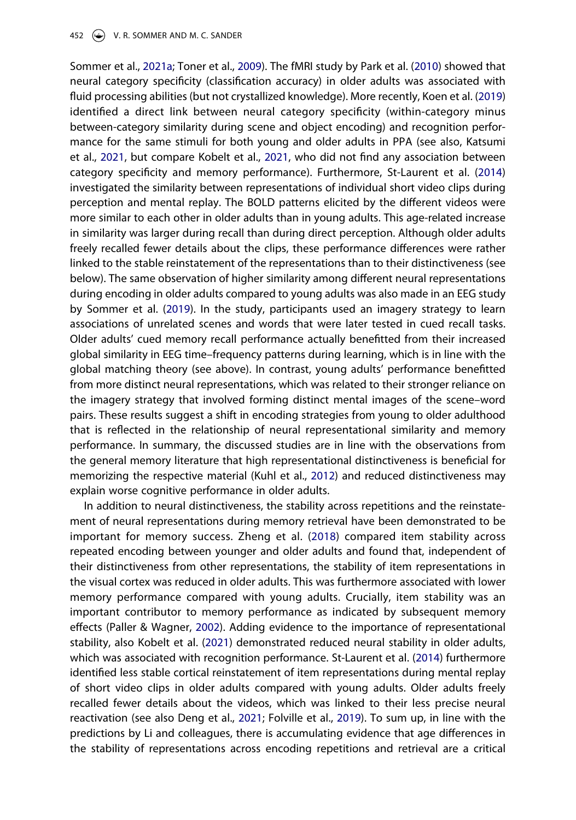<span id="page-10-3"></span><span id="page-10-1"></span>Sommer et al., [2021a;](#page-19-12) Toner et al., [2009](#page-19-13)). The fMRI study by Park et al. ([2010](#page-18-14)) showed that neural category specificity (classification accuracy) in older adults was associated with fluid processing abilities (but not crystallized knowledge). More recently, Koen et al. ([2019](#page-16-14)) identified a direct link between neural category specificity (within-category minus between-category similarity during scene and object encoding) and recognition performance for the same stimuli for both young and older adults in PPA (see also, Katsumi et al., [2021,](#page-16-17) but compare Kobelt et al., [2021](#page-16-2), who did not find any association between category specificity and memory performance). Furthermore, St-Laurent et al. ([2014](#page-19-14)) investigated the similarity between representations of individual short video clips during perception and mental replay. The BOLD patterns elicited by the different videos were more similar to each other in older adults than in young adults. This age-related increase in similarity was larger during recall than during direct perception. Although older adults freely recalled fewer details about the clips, these performance differences were rather linked to the stable reinstatement of the representations than to their distinctiveness (see below). The same observation of higher similarity among different neural representations during encoding in older adults compared to young adults was also made in an EEG study by Sommer et al. [\(2019\)](#page-19-3). In the study, participants used an imagery strategy to learn associations of unrelated scenes and words that were later tested in cued recall tasks. Older adults' cued memory recall performance actually benefitted from their increased global similarity in EEG time–frequency patterns during learning, which is in line with the global matching theory (see above). In contrast, young adults' performance benefitted from more distinct neural representations, which was related to their stronger reliance on the imagery strategy that involved forming distinct mental images of the scene–word pairs. These results suggest a shift in encoding strategies from young to older adulthood that is reflected in the relationship of neural representational similarity and memory performance. In summary, the discussed studies are in line with the observations from the general memory literature that high representational distinctiveness is beneficial for memorizing the respective material (Kuhl et al., [2012\)](#page-18-11) and reduced distinctiveness may explain worse cognitive performance in older adults.

<span id="page-10-4"></span><span id="page-10-2"></span><span id="page-10-0"></span>In addition to neural distinctiveness, the stability across repetitions and the reinstatement of neural representations during memory retrieval have been demonstrated to be important for memory success. Zheng et al. ([2018\)](#page-20-0) compared item stability across repeated encoding between younger and older adults and found that, independent of their distinctiveness from other representations, the stability of item representations in the visual cortex was reduced in older adults. This was furthermore associated with lower memory performance compared with young adults. Crucially, item stability was an important contributor to memory performance as indicated by subsequent memory effects (Paller & Wagner, [2002](#page-17-14)). Adding evidence to the importance of representational stability, also Kobelt et al. ([2021](#page-16-2)) demonstrated reduced neural stability in older adults, which was associated with recognition performance. St-Laurent et al. [\(2014\)](#page-19-14) furthermore identified less stable cortical reinstatement of item representations during mental replay of short video clips in older adults compared with young adults. Older adults freely recalled fewer details about the videos, which was linked to their less precise neural reactivation (see also Deng et al., [2021;](#page-14-14) Folville et al., [2019](#page-15-16)). To sum up, in line with the predictions by Li and colleagues, there is accumulating evidence that age differences in the stability of representations across encoding repetitions and retrieval are a critical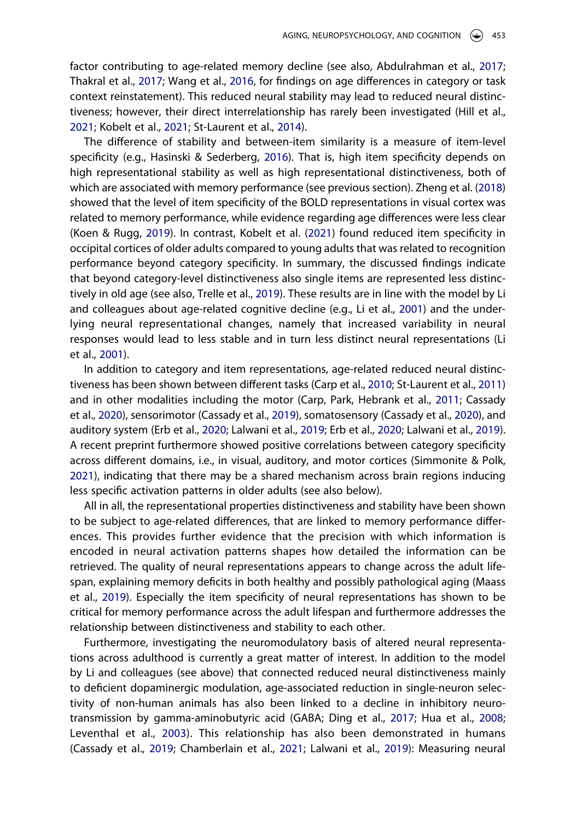<span id="page-11-11"></span><span id="page-11-0"></span>factor contributing to age-related memory decline (see also, Abdulrahman et al., [2017](#page-13-12); Thakral et al., [2017](#page-19-15); Wang et al., [2016](#page-20-13), for findings on age differences in category or task context reinstatement). This reduced neural stability may lead to reduced neural distinctiveness; however, their direct interrelationship has rarely been investigated (Hill et al., [2021;](#page-15-17) Kobelt et al., [2021](#page-16-2); St-Laurent et al., [2014](#page-19-14)).

<span id="page-11-6"></span>The difference of stability and between-item similarity is a measure of item-level specificity (e.g., Hasinski & Sederberg, [2016\)](#page-15-1). That is, high item specificity depends on high representational stability as well as high representational distinctiveness, both of which are associated with memory performance (see previous section). Zheng et al. ([2018](#page-20-0)) showed that the level of item specificity of the BOLD representations in visual cortex was related to memory performance, while evidence regarding age differences were less clear (Koen & Rugg, [2019\)](#page-16-0). In contrast, Kobelt et al. ([2021](#page-16-2)) found reduced item specificity in occipital cortices of older adults compared to young adults that was related to recognition performance beyond category specificity. In summary, the discussed findings indicate that beyond category-level distinctiveness also single items are represented less distinctively in old age (see also, Trelle et al., [2019\)](#page-19-16). These results are in line with the model by Li and colleagues about age-related cognitive decline (e.g., Li et al., [2001](#page-17-15)) and the underlying neural representational changes, namely that increased variability in neural responses would lead to less stable and in turn less distinct neural representations (Li et al., [2001\)](#page-17-15).

<span id="page-11-12"></span><span id="page-11-8"></span><span id="page-11-5"></span><span id="page-11-3"></span><span id="page-11-1"></span>In addition to category and item representations, age-related reduced neural distinctiveness has been shown between different tasks (Carp et al., [2010;](#page-13-13) St-Laurent et al., [2011](#page-19-17)) and in other modalities including the motor (Carp, Park, Hebrank et al., [2011;](#page-13-0) Cassady et al., [2020\)](#page-13-14), sensorimotor (Cassady et al., [2019](#page-13-15)), somatosensory (Cassady et al., [2020\)](#page-13-14), and auditory system (Erb et al., [2020;](#page-14-15) Lalwani et al., [2019;](#page-16-15) Erb et al., [2020](#page-14-15); Lalwani et al., [2019](#page-16-15)). A recent preprint furthermore showed positive correlations between category specificity across different domains, i.e., in visual, auditory, and motor cortices (Simmonite & Polk, [2021\)](#page-19-18), indicating that there may be a shared mechanism across brain regions inducing less specific activation patterns in older adults (see also below).

<span id="page-11-10"></span>All in all, the representational properties distinctiveness and stability have been shown to be subject to age-related differences, that are linked to memory performance differences. This provides further evidence that the precision with which information is encoded in neural activation patterns shapes how detailed the information can be retrieved. The quality of neural representations appears to change across the adult lifespan, explaining memory deficits in both healthy and possibly pathological aging (Maass et al., [2019\)](#page-17-16). Especially the item specificity of neural representations has shown to be critical for memory performance across the adult lifespan and furthermore addresses the relationship between distinctiveness and stability to each other.

<span id="page-11-9"></span><span id="page-11-7"></span><span id="page-11-4"></span><span id="page-11-2"></span>Furthermore, investigating the neuromodulatory basis of altered neural representations across adulthood is currently a great matter of interest. In addition to the model by Li and colleagues (see above) that connected reduced neural distinctiveness mainly to deficient dopaminergic modulation, age-associated reduction in single-neuron selectivity of non-human animals has also been linked to a decline in inhibitory neurotransmission by gamma-aminobutyric acid (GABA; Ding et al., [2017;](#page-14-16) Hua et al., [2008](#page-15-18); Leventhal et al., [2003\)](#page-17-17). This relationship has also been demonstrated in humans (Cassady et al., [2019](#page-13-15); Chamberlain et al., [2021;](#page-13-16) Lalwani et al., [2019\)](#page-16-15): Measuring neural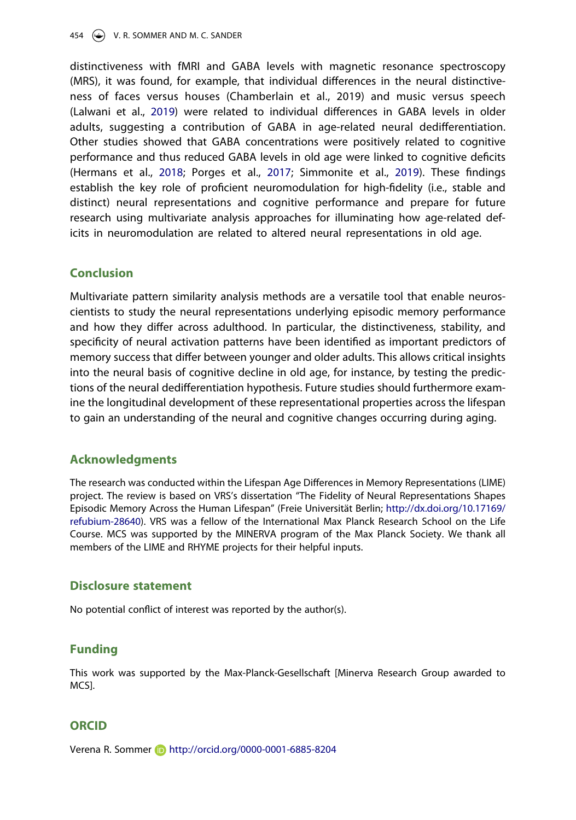<span id="page-12-0"></span>distinctiveness with fMRI and GABA levels with magnetic resonance spectroscopy (MRS), it was found, for example, that individual differences in the neural distinctiveness of faces versus houses (Chamberlain et al., 2019) and music versus speech (Lalwani et al., [2019\)](#page-16-15) were related to individual differences in GABA levels in older adults, suggesting a contribution of GABA in age-related neural dedifferentiation. Other studies showed that GABA concentrations were positively related to cognitive performance and thus reduced GABA levels in old age were linked to cognitive deficits (Hermans et al., [2018;](#page-15-19) Porges et al., [2017](#page-18-16); Simmonite et al., [2019\)](#page-18-17). These findings establish the key role of proficient neuromodulation for high-fidelity (i.e., stable and distinct) neural representations and cognitive performance and prepare for future research using multivariate analysis approaches for illuminating how age-related deficits in neuromodulation are related to altered neural representations in old age.

# **Conclusion**

Multivariate pattern similarity analysis methods are a versatile tool that enable neuroscientists to study the neural representations underlying episodic memory performance and how they differ across adulthood. In particular, the distinctiveness, stability, and specificity of neural activation patterns have been identified as important predictors of memory success that differ between younger and older adults. This allows critical insights into the neural basis of cognitive decline in old age, for instance, by testing the predictions of the neural dedifferentiation hypothesis. Future studies should furthermore examine the longitudinal development of these representational properties across the lifespan to gain an understanding of the neural and cognitive changes occurring during aging.

# **Acknowledgments**

The research was conducted within the Lifespan Age Differences in Memory Representations (LIME) project. The review is based on VRS's dissertation "The Fidelity of Neural Representations Shapes Episodic Memory Across the Human Lifespan" (Freie Universität Berlin; [http://dx.doi.org/10.17169/](http://dx.doi.org/10.17169/refubium-28640) [refubium-28640\)](http://dx.doi.org/10.17169/refubium-28640). VRS was a fellow of the International Max Planck Research School on the Life Course. MCS was supported by the MINERVA program of the Max Planck Society. We thank all members of the LIME and RHYME projects for their helpful inputs.

# **Disclosure statement**

No potential conflict of interest was reported by the author(s).

# **Funding**

This work was supported by the Max-Planck-Gesellschaft [Minerva Research Group awarded to MCS].

# **ORCID**

Verena R. Sommer http://orcid.org/0000-0001-6885-8204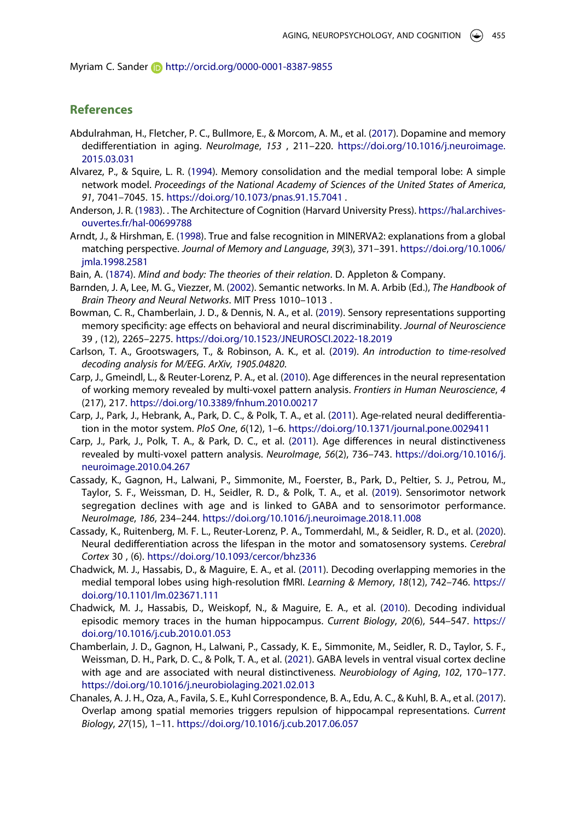Myriam C. Sander **http://orcid.org/0000-0001-8387-9855** 

# **References**

- <span id="page-13-12"></span>Abdulrahman, H., Fletcher, P. C., Bullmore, E., & Morcom, A. M., et al. [\(2017\)](#page-11-0). Dopamine and memory dedifferentiation in aging. *NeuroImage*, *153* , 211–220. [https://doi.org/10.1016/j.neuroimage.](https://doi.org/10.1016/j.neuroimage.2015.03.031) [2015.03.031](https://doi.org/10.1016/j.neuroimage.2015.03.031)
- <span id="page-13-9"></span>Alvarez, P., & Squire, L. R. ([1994\)](#page-7-0). Memory consolidation and the medial temporal lobe: A simple network model. *Proceedings of the National Academy of Sciences of the United States of America*, *91*, 7041–7045. 15. <https://doi.org/10.1073/pnas.91.15.7041>.
- <span id="page-13-4"></span>Anderson, J. R. [\(1983\)](#page-4-0). . The Architecture of Cognition (Harvard University Press). [https://hal.archives](https://hal.archives-ouvertes.fr/hal-00699788)[ouvertes.fr/hal-00699788](https://hal.archives-ouvertes.fr/hal-00699788)
- <span id="page-13-6"></span>Arndt, J., & Hirshman, E. ([1998](#page-4-1)). True and false recognition in MINERVA2: explanations from a global matching perspective. *Journal of Memory and Language*, *39*(3), 371–391. [https://doi.org/10.1006/](https://doi.org/10.1006/jmla.1998.2581) [jmla.1998.2581](https://doi.org/10.1006/jmla.1998.2581)
- <span id="page-13-2"></span>Bain, A. [\(1874\)](#page-2-0). *Mind and body: The theories of their relation*. D. Appleton & Company.
- <span id="page-13-5"></span>Barnden, J. A, Lee, M. G., Viezzer, M. ([2002](#page-4-0)). Semantic networks. In M. A. Arbib (Ed.), *The Handbook of Brain Theory and Neural Networks*. MIT Press 1010–1013 .
- <span id="page-13-11"></span>Bowman, C. R., Chamberlain, J. D., & Dennis, N. A., et al. ([2019](#page-9-0)). Sensory representations supporting memory specificity: age effects on behavioral and neural discriminability. *Journal of Neuroscience*  39 , (12), 2265–2275. <https://doi.org/10.1523/JNEUROSCI.2022-18.2019>
- <span id="page-13-3"></span>Carlson, T. A., Grootswagers, T., & Robinson, A. K., et al. ([2019](#page-2-1)). *An introduction to time-resolved decoding analysis for M/EEG*. *ArXiv, 1905.04820*.
- <span id="page-13-13"></span>Carp, J., Gmeindl, L., & Reuter-Lorenz, P. A., et al. ([2010](#page-11-1)). Age differences in the neural representation of working memory revealed by multi-voxel pattern analysis. *Frontiers in Human Neuroscience*, *4*  (217), 217. <https://doi.org/10.3389/fnhum.2010.00217>
- <span id="page-13-0"></span>Carp, J., Park, J., Hebrank, A., Park, D. C., & Polk, T. A., et al. ([2011](#page-1-0)). Age-related neural dedifferentiation in the motor system. *PloS One*, *6*(12), 1–6. <https://doi.org/10.1371/journal.pone.0029411>
- <span id="page-13-10"></span>Carp, J., Park, J., Polk, T. A., & Park, D. C., et al. ([2011](#page-9-1)). Age differences in neural distinctiveness revealed by multi-voxel pattern analysis. *NeuroImage*, *56*(2), 736–743. [https://doi.org/10.1016/j.](https://doi.org/10.1016/j.neuroimage.2010.04.267) [neuroimage.2010.04.267](https://doi.org/10.1016/j.neuroimage.2010.04.267)
- <span id="page-13-15"></span>Cassady, K., Gagnon, H., Lalwani, P., Simmonite, M., Foerster, B., Park, D., Peltier, S. J., Petrou, M., Taylor, S. F., Weissman, D. H., Seidler, R. D., & Polk, T. A., et al. [\(2019\)](#page-11-2). Sensorimotor network segregation declines with age and is linked to GABA and to sensorimotor performance. *NeuroImage*, *186*, 234–244. <https://doi.org/10.1016/j.neuroimage.2018.11.008>
- <span id="page-13-14"></span>Cassady, K., Ruitenberg, M. F. L., Reuter-Lorenz, P. A., Tommerdahl, M., & Seidler, R. D., et al. [\(2020\)](#page-11-3). Neural dedifferentiation across the lifespan in the motor and somatosensory systems. *Cerebral Cortex* 30 , (6). <https://doi.org/10.1093/cercor/bhz336>
- <span id="page-13-8"></span>Chadwick, M. J., Hassabis, D., & Maguire, E. A., et al. [\(2011\)](#page-5-0). Decoding overlapping memories in the medial temporal lobes using high-resolution fMRI. *Learning & Memory*, *18*(12), 742–746. [https://](https://doi.org/10.1101/lm.023671.111) [doi.org/10.1101/lm.023671.111](https://doi.org/10.1101/lm.023671.111)
- <span id="page-13-1"></span>Chadwick, M. J., Hassabis, D., Weiskopf, N., & Maguire, E. A., et al. [\(2010\)](#page-1-0). Decoding individual episodic memory traces in the human hippocampus. *Current Biology*, *20*(6), 544–547. [https://](https://doi.org/10.1016/j.cub.2010.01.053) [doi.org/10.1016/j.cub.2010.01.053](https://doi.org/10.1016/j.cub.2010.01.053)
- <span id="page-13-16"></span>Chamberlain, J. D., Gagnon, H., Lalwani, P., Cassady, K. E., Simmonite, M., Seidler, R. D., Taylor, S. F., Weissman, D. H., Park, D. C., & Polk, T. A., et al. [\(2021\)](#page-11-2). GABA levels in ventral visual cortex decline with age and are associated with neural distinctiveness. *Neurobiology of Aging*, *102*, 170–177. <https://doi.org/10.1016/j.neurobiolaging.2021.02.013>
- <span id="page-13-7"></span>Chanales, A. J. H., Oza, A., Favila, S. E., Kuhl Correspondence, B. A., Edu, A. C., & Kuhl, B. A., et al. [\(2017\)](#page-5-1). Overlap among spatial memories triggers repulsion of hippocampal representations. *Current Biology*, *27*(15), 1–11. <https://doi.org/10.1016/j.cub.2017.06.057>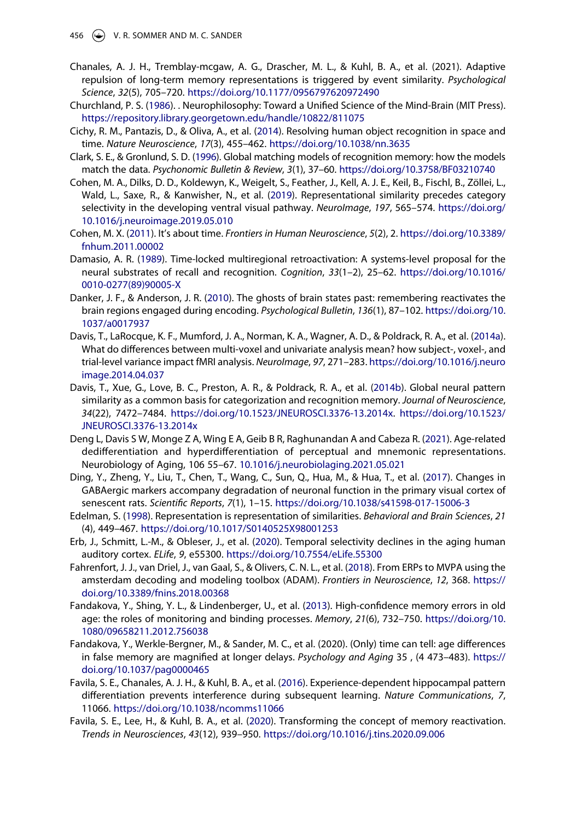- Chanales, A. J. H., Tremblay-mcgaw, A. G., Drascher, M. L., & Kuhl, B. A., et al. (2021). Adaptive repulsion of long-term memory representations is triggered by event similarity. *Psychological Science*, *32*(5), 705–720. <https://doi.org/10.1177/0956797620972490>
- <span id="page-14-1"></span>Churchland, P. S. [\(1986\)](#page-2-0). . Neurophilosophy: Toward a Unified Science of the Mind-Brain (MIT Press). <https://repository.library.georgetown.edu/handle/10822/811075>
- <span id="page-14-4"></span>Cichy, R. M., Pantazis, D., & Oliva, A., et al. [\(2014\)](#page-3-0). Resolving human object recognition in space and time. *Nature Neuroscience*, *17*(3), 455–462. <https://doi.org/10.1038/nn.3635>
- <span id="page-14-7"></span>Clark, S. E., & Gronlund, S. D. [\(1996](#page-4-2)). Global matching models of recognition memory: how the models match the data. *Psychonomic Bulletin & Review*, *3*(1), 37–60. <https://doi.org/10.3758/BF03210740>
- <span id="page-14-5"></span>Cohen, M. A., Dilks, D. D., Koldewyn, K., Weigelt, S., Feather, J., Kell, A. J. E., Keil, B., Fischl, B., Zöllei, L., Wald, L., Saxe, R., & Kanwisher, N., et al. ([2019](#page-3-0)). Representational similarity precedes category selectivity in the developing ventral visual pathway. *NeuroImage*, *197*, 565–574. [https://doi.org/](https://doi.org/10.1016/j.neuroimage.2019.05.010) [10.1016/j.neuroimage.2019.05.010](https://doi.org/10.1016/j.neuroimage.2019.05.010)
- <span id="page-14-0"></span>Cohen, M. X. ([2011](#page-2-2)). It's about time. *Frontiers in Human Neuroscience*, *5*(2), 2. [https://doi.org/10.3389/](https://doi.org/10.3389/fnhum.2011.00002) [fnhum.2011.00002](https://doi.org/10.3389/fnhum.2011.00002)
- <span id="page-14-10"></span>Damasio, A. R. [\(1989\)](#page-7-1). Time-locked multiregional retroactivation: A systems-level proposal for the neural substrates of recall and recognition. *Cognition*, *33*(1–2), 25–62. [https://doi.org/10.1016/](https://doi.org/10.1016/0010-0277(89)90005-X) [0010-0277\(89\)90005-X](https://doi.org/10.1016/0010-0277(89)90005-X)
- <span id="page-14-11"></span>Danker, J. F., & Anderson, J. R. ([2010](#page-7-2)). The ghosts of brain states past: remembering reactivates the brain regions engaged during encoding. *Psychological Bulletin*, *136*(1), 87–102. [https://doi.org/10.](https://doi.org/10.1037/a0017937) [1037/a0017937](https://doi.org/10.1037/a0017937)
- <span id="page-14-6"></span>Davis, T., LaRocque, K. F., Mumford, J. A., Norman, K. A., Wagner, A. D., & Poldrack, R. A., et al. ([2014a\)](#page-3-1). What do differences between multi-voxel and univariate analysis mean? how subject-, voxel-, and trial-level variance impact fMRI analysis. *NeuroImage*, *97*, 271–283. [https://doi.org/10.1016/j.neuro](https://doi.org/10.1016/j.neuroimage.2014.04.037) [image.2014.04.037](https://doi.org/10.1016/j.neuroimage.2014.04.037)
- <span id="page-14-8"></span>Davis, T., Xue, G., Love, B. C., Preston, A. R., & Poldrack, R. A., et al. [\(2014b\)](#page-4-3). Global neural pattern similarity as a common basis for categorization and recognition memory. *Journal of Neuroscience*, *34*(22), 7472–7484. [https://doi.org/10.1523/JNEUROSCI.3376-13.2014x.](https://doi.org/10.1523/JNEUROSCI.3376-13.2014x) [https://doi.org/10.1523/](https://doi.org/10.1523/JNEUROSCI.3376-13.2014x) [JNEUROSCI.3376-13.2014x](https://doi.org/10.1523/JNEUROSCI.3376-13.2014x)
- <span id="page-14-14"></span>Deng L, Davis S W, Monge Z A, Wing E A, Geib B R, Raghunandan A and Cabeza R. [\(2021\)](#page-10-0). Age-related dedifferentiation and hyperdifferentiation of perceptual and mnemonic representations. Neurobiology of Aging, 106 55–67. [10.1016/j.neurobiolaging.2021.05.021](https://doi.org/10.1016/j.neurobiolaging.2021.05.021)
- <span id="page-14-16"></span>Ding, Y., Zheng, Y., Liu, T., Chen, T., Wang, C., Sun, Q., Hua, M., & Hua, T., et al. ([2017](#page-11-4)). Changes in GABAergic markers accompany degradation of neuronal function in the primary visual cortex of senescent rats. *Scientific Reports*, *7*(1), 1–15. <https://doi.org/10.1038/s41598-017-15006-3>
- <span id="page-14-3"></span>Edelman, S. [\(1998](#page-3-2)). Representation is representation of similarities. *Behavioral and Brain Sciences*, *21*  (4), 449–467. <https://doi.org/10.1017/S0140525X98001253>
- <span id="page-14-15"></span>Erb, J., Schmitt, L.-M., & Obleser, J., et al. ([2020](#page-11-5)). Temporal selectivity declines in the aging human auditory cortex. *ELife*, *9*, e55300. <https://doi.org/10.7554/eLife.55300>
- <span id="page-14-2"></span>Fahrenfort, J. J., van Driel, J., van Gaal, S., & Olivers, C. N. L., et al. [\(2018\)](#page-2-1). From ERPs to MVPA using the amsterdam decoding and modeling toolbox (ADAM). *Frontiers in Neuroscience*, *12*, 368. [https://](https://doi.org/10.3389/fnins.2018.00368) [doi.org/10.3389/fnins.2018.00368](https://doi.org/10.3389/fnins.2018.00368)
- <span id="page-14-13"></span>Fandakova, Y., Shing, Y. L., & Lindenberger, U., et al. ([2013](#page-9-2)). High-confidence memory errors in old age: the roles of monitoring and binding processes. *Memory*, *21*(6), 732–750. [https://doi.org/10.](https://doi.org/10.1080/09658211.2012.756038) [1080/09658211.2012.756038](https://doi.org/10.1080/09658211.2012.756038)
- Fandakova, Y., Werkle-Bergner, M., & Sander, M. C., et al. (2020). (Only) time can tell: age differences in false memory are magnified at longer delays. *Psychology and Aging* 35 , (4 473–483). [https://](https://doi.org/10.1037/pag0000465) [doi.org/10.1037/pag0000465](https://doi.org/10.1037/pag0000465)
- <span id="page-14-9"></span>Favila, S. E., Chanales, A. J. H., & Kuhl, B. A., et al. ([2016](#page-5-2)). Experience-dependent hippocampal pattern differentiation prevents interference during subsequent learning. *Nature Communications*, *7*, 11066. <https://doi.org/10.1038/ncomms11066>
- <span id="page-14-12"></span>Favila, S. E., Lee, H., & Kuhl, B. A., et al. ([2020\)](#page-8-0). Transforming the concept of memory reactivation. *Trends in Neurosciences*, *43*(12), 939–950. <https://doi.org/10.1016/j.tins.2020.09.006>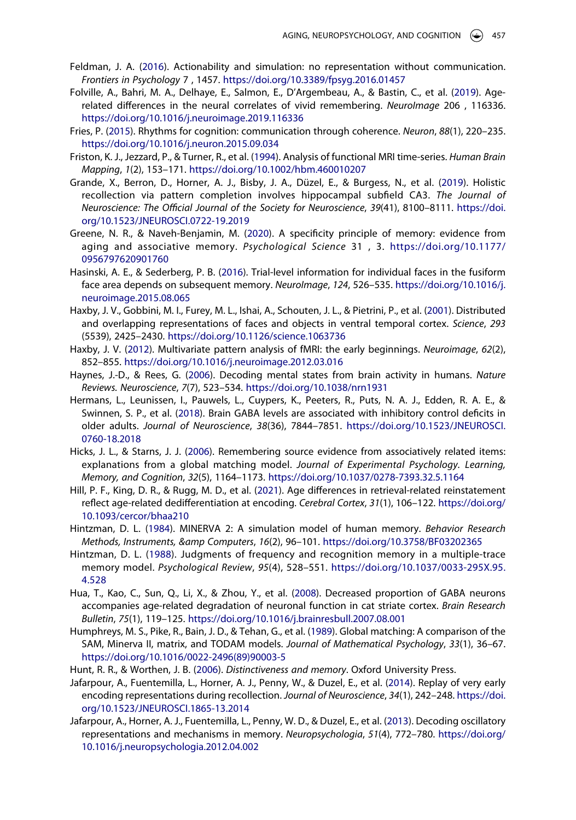- <span id="page-15-6"></span>Feldman, J. A. ([2016](#page-3-3)). Actionability and simulation: no representation without communication. *Frontiers in Psychology* 7 , 1457. <https://doi.org/10.3389/fpsyg.2016.01457>
- <span id="page-15-16"></span>Folville, A., Bahri, M. A., Delhaye, E., Salmon, E., D'Argembeau, A., & Bastin, C., et al. [\(2019\)](#page-10-0). Agerelated differences in the neural correlates of vivid remembering. *NeuroImage* 206 , 116336. <https://doi.org/10.1016/j.neuroimage.2019.116336>
- <span id="page-15-2"></span>Fries, P. [\(2015\)](#page-2-2). Rhythms for cognition: communication through coherence. *Neuron*, *88*(1), 220–235. <https://doi.org/10.1016/j.neuron.2015.09.034>
- <span id="page-15-3"></span>Friston, K. J., Jezzard, P., & Turner, R., et al. ([1994](#page-2-3)). Analysis of functional MRI time-series. *Human Brain Mapping*, *1*(2), 153–171. <https://doi.org/10.1002/hbm.460010207>
- <span id="page-15-13"></span>Grande, X., Berron, D., Horner, A. J., Bisby, J. A., Düzel, E., & Burgess, N., et al. [\(2019\)](#page-6-0). Holistic recollection via pattern completion involves hippocampal subfield CA3. *The Journal of Neuroscience: The Official Journal of the Society for Neuroscience*, *39*(41), 8100–8111. [https://doi.](https://doi.org/10.1523/JNEUROSCI.0722-19.2019) [org/10.1523/JNEUROSCI.0722-19.2019](https://doi.org/10.1523/JNEUROSCI.0722-19.2019)
- <span id="page-15-15"></span>Greene, N. R., & Naveh-Benjamin, M. ([2020](#page-9-3)). A specificity principle of memory: evidence from aging and associative memory. *Psychological Science* 31 , 3. [https://doi.org/10.1177/](https://doi.org/10.1177/0956797620901760)  [0956797620901760](https://doi.org/10.1177/0956797620901760)
- <span id="page-15-1"></span>Hasinski, A. E., & Sederberg, P. B. ([2016](#page-2-4)). Trial-level information for individual faces in the fusiform face area depends on subsequent memory. *NeuroImage*, *124*, 526–535. [https://doi.org/10.1016/j.](https://doi.org/10.1016/j.neuroimage.2015.08.065) [neuroimage.2015.08.065](https://doi.org/10.1016/j.neuroimage.2015.08.065)
- <span id="page-15-0"></span>Haxby, J. V., Gobbini, M. I., Furey, M. L., Ishai, A., Schouten, J. L., & Pietrini, P., et al. ([2001](#page-1-1)). Distributed and overlapping representations of faces and objects in ventral temporal cortex. *Science*, *293*  (5539), 2425–2430. <https://doi.org/10.1126/science.1063736>
- <span id="page-15-7"></span>Haxby, J. V. [\(2012\)](#page-3-4). Multivariate pattern analysis of fMRI: the early beginnings. *Neuroimage*, *62*(2), 852–855. <https://doi.org/10.1016/j.neuroimage.2012.03.016>
- <span id="page-15-4"></span>Haynes, J.-D., & Rees, G. [\(2006\)](#page-2-5). Decoding mental states from brain activity in humans. *Nature Reviews. Neuroscience*, *7*(7), 523–534. <https://doi.org/10.1038/nrn1931>
- <span id="page-15-19"></span>Hermans, L., Leunissen, I., Pauwels, L., Cuypers, K., Peeters, R., Puts, N. A. J., Edden, R. A. E., & Swinnen, S. P., et al. ([2018](#page-12-0)). Brain GABA levels are associated with inhibitory control deficits in older adults. *Journal of Neuroscience*, *38*(36), 7844–7851. [https://doi.org/10.1523/JNEUROSCI.](https://doi.org/10.1523/JNEUROSCI.0760-18.2018) [0760-18.2018](https://doi.org/10.1523/JNEUROSCI.0760-18.2018)
- <span id="page-15-10"></span>Hicks, J. L., & Starns, J. J. ([2006](#page-4-2)). Remembering source evidence from associatively related items: explanations from a global matching model. *Journal of Experimental Psychology. Learning, Memory, and Cognition*, *32*(5), 1164–1173. <https://doi.org/10.1037/0278-7393.32.5.1164>
- <span id="page-15-17"></span>Hill, P. F., King, D. R., & Rugg, M. D., et al. [\(2021\)](#page-11-6). Age differences in retrieval-related reinstatement reflect age-related dedifferentiation at encoding. *Cerebral Cortex*, *31*(1), 106–122. [https://doi.org/](https://doi.org/10.1093/cercor/bhaa210) [10.1093/cercor/bhaa210](https://doi.org/10.1093/cercor/bhaa210)
- <span id="page-15-8"></span>Hintzman, D. L. ([1984\)](#page-4-4). MINERVA 2: A simulation model of human memory. *Behavior Research Methods, Instruments, &amp Computers*, *16*(2), 96–101. <https://doi.org/10.3758/BF03202365>
- <span id="page-15-11"></span>Hintzman, D. L. ([1988\)](#page-4-1). Judgments of frequency and recognition memory in a multiple-trace memory model. *Psychological Review*, *95*(4), 528–551. [https://doi.org/10.1037/0033-295X.95.](https://doi.org/10.1037/0033-295X.95.4.528) [4.528](https://doi.org/10.1037/0033-295X.95.4.528)
- <span id="page-15-18"></span>Hua, T., Kao, C., Sun, Q., Li, X., & Zhou, Y., et al. [\(2008\)](#page-11-4). Decreased proportion of GABA neurons accompanies age-related degradation of neuronal function in cat striate cortex. *Brain Research Bulletin*, *75*(1), 119–125. <https://doi.org/10.1016/j.brainresbull.2007.08.001>
- <span id="page-15-9"></span>Humphreys, M. S., Pike, R., Bain, J. D., & Tehan, G., et al. [\(1989\)](#page-4-4). Global matching: A comparison of the SAM, Minerva II, matrix, and TODAM models. *Journal of Mathematical Psychology*, *33*(1), 36–67. [https://doi.org/10.1016/0022-2496\(89\)90003-5](https://doi.org/10.1016/0022-2496(89)90003-5)
- <span id="page-15-12"></span>Hunt, R. R., & Worthen, J. B. [\(2006\)](#page-5-3). *Distinctiveness and memory*. Oxford University Press.
- <span id="page-15-14"></span>Jafarpour, A., Fuentemilla, L., Horner, A. J., Penny, W., & Duzel, E., et al. ([2014](#page-7-3)). Replay of very early encoding representations during recollection. *Journal of Neuroscience*, *34*(1), 242–248. [https://doi.](https://doi.org/10.1523/JNEUROSCI.1865-13.2014) [org/10.1523/JNEUROSCI.1865-13.2014](https://doi.org/10.1523/JNEUROSCI.1865-13.2014)
- <span id="page-15-5"></span>Jafarpour, A., Horner, A. J., Fuentemilla, L., Penny, W. D., & Duzel, E., et al. ([2013](#page-2-1)). Decoding oscillatory representations and mechanisms in memory. *Neuropsychologia*, *51*(4), 772–780. [https://doi.org/](https://doi.org/10.1016/j.neuropsychologia.2012.04.002) [10.1016/j.neuropsychologia.2012.04.002](https://doi.org/10.1016/j.neuropsychologia.2012.04.002)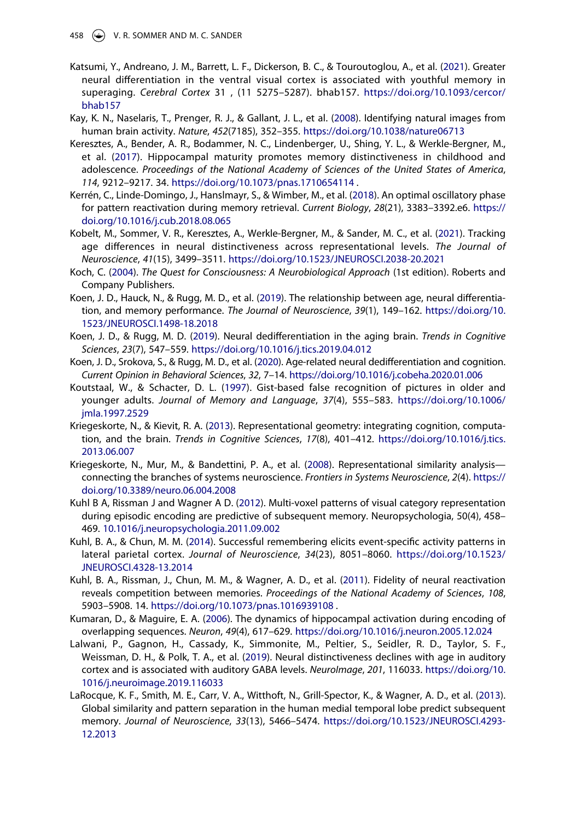- <span id="page-16-17"></span>Katsumi, Y., Andreano, J. M., Barrett, L. F., Dickerson, B. C., & Touroutoglou, A., et al. ([2021](#page-10-1)). Greater neural differentiation in the ventral visual cortex is associated with youthful memory in superaging. *Cerebral Cortex* 31 , (11 5275–5287). bhab157. [https://doi.org/10.1093/cercor/](https://doi.org/10.1093/cercor/bhab157) [bhab157](https://doi.org/10.1093/cercor/bhab157)
- <span id="page-16-4"></span>Kay, K. N., Naselaris, T., Prenger, R. J., & Gallant, J. L., et al. [\(2008\)](#page-2-6). Identifying natural images from human brain activity. *Nature*, *452*(7185), 352–355. <https://doi.org/10.1038/nature06713>
- <span id="page-16-10"></span>Keresztes, A., Bender, A. R., Bodammer, N. C., Lindenberger, U., Shing, Y. L., & Werkle-Bergner, M., et al. [\(2017](#page-6-0)). Hippocampal maturity promotes memory distinctiveness in childhood and adolescence. *Proceedings of the National Academy of Sciences of the United States of America*, *114*, 9212–9217. 34. <https://doi.org/10.1073/pnas.1710654114> .
- <span id="page-16-13"></span>Kerrén, C., Linde-Domingo, J., Hanslmayr, S., & Wimber, M., et al. ([2018](#page-7-4)). An optimal oscillatory phase for pattern reactivation during memory retrieval. *Current Biology*, *28*(21), 3383–3392.e6. [https://](https://doi.org/10.1016/j.cub.2018.08.065) [doi.org/10.1016/j.cub.2018.08.065](https://doi.org/10.1016/j.cub.2018.08.065)
- <span id="page-16-2"></span>Kobelt, M., Sommer, V. R., Keresztes, A., Werkle-Bergner, M., & Sander, M. C., et al. [\(2021\)](#page-2-4). Tracking age differences in neural distinctiveness across representational levels. *The Journal of Neuroscience*, *41*(15), 3499–3511. <https://doi.org/10.1523/JNEUROSCI.2038-20.2021>
- <span id="page-16-3"></span>Koch, C. ([2004](#page-2-0)). *The Quest for Consciousness: A Neurobiological Approach* (1st edition). Roberts and Company Publishers.
- <span id="page-16-14"></span>Koen, J. D., Hauck, N., & Rugg, M. D., et al. [\(2019\)](#page-9-4). The relationship between age, neural differentiation, and memory performance. *The Journal of Neuroscience*, *39*(1), 149–162. [https://doi.org/10.](https://doi.org/10.1523/JNEUROSCI.1498-18.2018) [1523/JNEUROSCI.1498-18.2018](https://doi.org/10.1523/JNEUROSCI.1498-18.2018)
- <span id="page-16-0"></span>Koen, J. D., & Rugg, M. D. [\(2019\)](#page-1-2). Neural dedifferentiation in the aging brain. *Trends in Cognitive Sciences*, *23*(7), 547–559. <https://doi.org/10.1016/j.tics.2019.04.012>
- <span id="page-16-1"></span>Koen, J. D., Srokova, S., & Rugg, M. D., et al. [\(2020\)](#page-1-2). Age-related neural dedifferentiation and cognition. *Current Opinion in Behavioral Sciences*, *32*, 7–14. <https://doi.org/10.1016/j.cobeha.2020.01.006>
- <span id="page-16-16"></span>Koutstaal, W., & Schacter, D. L. [\(1997](#page-9-3)). Gist-based false recognition of pictures in older and younger adults. *Journal of Memory and Language*, *37*(4), 555–583. [https://doi.org/10.1006/](https://doi.org/10.1006/jmla.1997.2529) [jmla.1997.2529](https://doi.org/10.1006/jmla.1997.2529)
- <span id="page-16-5"></span>Kriegeskorte, N., & Kievit, R. A. ([2013](#page-3-5)). Representational geometry: integrating cognition, computation, and the brain. *Trends in Cognitive Sciences*, *17*(8), 401–412. [https://doi.org/10.1016/j.tics.](https://doi.org/10.1016/j.tics.2013.06.007) [2013.06.007](https://doi.org/10.1016/j.tics.2013.06.007)
- <span id="page-16-6"></span>Kriegeskorte, N., Mur, M., & Bandettini, P. A., et al. [\(2008\)](#page-3-2). Representational similarity analysis connecting the branches of systems neuroscience. *Frontiers in Systems Neuroscience*, *2*(4). [https://](https://doi.org/10.3389/neuro.06.004.2008) [doi.org/10.3389/neuro.06.004.2008](https://doi.org/10.3389/neuro.06.004.2008)
- <span id="page-16-9"></span>Kuhl B A, Rissman J and Wagner A D. ([2012](#page-5-4)). Multi-voxel patterns of visual category representation during episodic encoding are predictive of subsequent memory. Neuropsychologia, 50(4), 458– 469. [10.1016/j.neuropsychologia.2011.09.002](https://doi.org/10.1016/j.neuropsychologia.2011.09.002)
- <span id="page-16-11"></span>Kuhl, B. A., & Chun, M. M. ([2014](#page-7-3)). Successful remembering elicits event-specific activity patterns in lateral parietal cortex. *Journal of Neuroscience*, *34*(23), 8051–8060. [https://doi.org/10.1523/](https://doi.org/10.1523/JNEUROSCI.4328-13.2014) [JNEUROSCI.4328-13.2014](https://doi.org/10.1523/JNEUROSCI.4328-13.2014)
- <span id="page-16-12"></span>Kuhl, B. A., Rissman, J., Chun, M. M., & Wagner, A. D., et al. ([2011](#page-7-5)). Fidelity of neural reactivation reveals competition between memories. *Proceedings of the National Academy of Sciences*, *108*, 5903–5908. 14. <https://doi.org/10.1073/pnas.1016939108>.
- <span id="page-16-7"></span>Kumaran, D., & Maguire, E. A. [\(2006\)](#page-5-0). The dynamics of hippocampal activation during encoding of overlapping sequences. *Neuron*, *49*(4), 617–629. <https://doi.org/10.1016/j.neuron.2005.12.024>
- <span id="page-16-15"></span>Lalwani, P., Gagnon, H., Cassady, K., Simmonite, M., Peltier, S., Seidler, R. D., Taylor, S. F., Weissman, D. H., & Polk, T. A., et al. [\(2019\)](#page-9-5). Neural distinctiveness declines with age in auditory cortex and is associated with auditory GABA levels. *NeuroImage*, *201*, 116033. [https://doi.org/10.](https://doi.org/10.1016/j.neuroimage.2019.116033) [1016/j.neuroimage.2019.116033](https://doi.org/10.1016/j.neuroimage.2019.116033)
- <span id="page-16-8"></span>LaRocque, K. F., Smith, M. E., Carr, V. A., Witthoft, N., Grill-Spector, K., & Wagner, A. D., et al. [\(2013\)](#page-5-5). Global similarity and pattern separation in the human medial temporal lobe predict subsequent memory. *Journal of Neuroscience*, *33*(13), 5466–5474. [https://doi.org/10.1523/JNEUROSCI.4293-](https://doi.org/10.1523/JNEUROSCI.4293-12.2013) [12.2013](https://doi.org/10.1523/JNEUROSCI.4293-12.2013)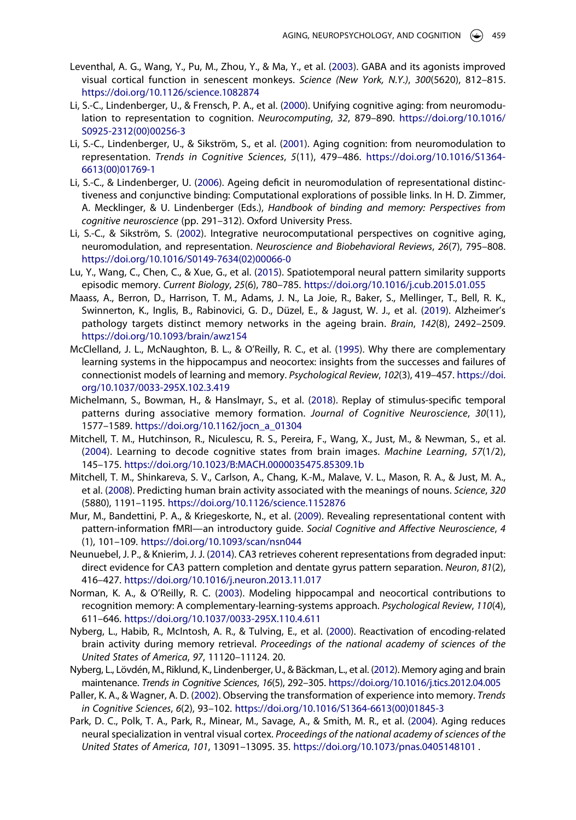- <span id="page-17-17"></span>Leventhal, A. G., Wang, Y., Pu, M., Zhou, Y., & Ma, Y., et al. [\(2003\)](#page-11-7). GABA and its agonists improved visual cortical function in senescent monkeys. *Science (New York, N.Y.)*, *300*(5620), 812–815. <https://doi.org/10.1126/science.1082874>
- <span id="page-17-2"></span>Li, S.-C., Lindenberger, U., & Frensch, P. A., et al. ([2000](#page-1-1)). Unifying cognitive aging: from neuromodulation to representation to cognition. *Neurocomputing*, *32*, 879–890. [https://doi.org/10.1016/](https://doi.org/10.1016/S0925-2312(00)00256-3) [S0925-2312\(00\)00256-3](https://doi.org/10.1016/S0925-2312(00)00256-3)
- <span id="page-17-15"></span>Li, S.-C., Lindenberger, U., & Sikström, S., et al. [\(2001\)](#page-11-8). Aging cognition: from neuromodulation to representation. *Trends in Cognitive Sciences*, *5*(11), 479–486. [https://doi.org/10.1016/S1364-](https://doi.org/10.1016/S1364-6613(00)01769-1) [6613\(00\)01769-1](https://doi.org/10.1016/S1364-6613(00)01769-1)
- <span id="page-17-12"></span>Li, S.-C., & Lindenberger, U. [\(2006\)](#page-9-6). Ageing deficit in neuromodulation of representational distinctiveness and conjunctive binding: Computational explorations of possible links. In H. D. Zimmer, A. Mecklinger, & U. Lindenberger (Eds.), *Handbook of binding and memory: Perspectives from cognitive neuroscience* (pp. 291–312). Oxford University Press.
- <span id="page-17-13"></span>Li, S.-C., & Sikström, S. ([2002](#page-9-6)). Integrative neurocomputational perspectives on cognitive aging, neuromodulation, and representation. *Neuroscience and Biobehavioral Reviews*, *26*(7), 795–808. [https://doi.org/10.1016/S0149-7634\(02\)00066-0](https://doi.org/10.1016/S0149-7634(02)00066-0)
- <span id="page-17-6"></span>Lu, Y., Wang, C., Chen, C., & Xue, G., et al. [\(2015\)](#page-5-6). Spatiotemporal neural pattern similarity supports episodic memory. *Current Biology*, *25*(6), 780–785. <https://doi.org/10.1016/j.cub.2015.01.055>
- <span id="page-17-16"></span>Maass, A., Berron, D., Harrison, T. M., Adams, J. N., La Joie, R., Baker, S., Mellinger, T., Bell, R. K., Swinnerton, K., Inglis, B., Rabinovici, G. D., Düzel, E., & Jagust, W. J., et al. [\(2019\)](#page-11-9). Alzheimer's pathology targets distinct memory networks in the ageing brain. *Brain*, *142*(8), 2492–2509. <https://doi.org/10.1093/brain/awz154>
- <span id="page-17-7"></span>McClelland, J. L., McNaughton, B. L., & O'Reilly, R. C., et al. ([1995](#page-6-1)). Why there are complementary learning systems in the hippocampus and neocortex: insights from the successes and failures of connectionist models of learning and memory. *Psychological Review*, *102*(3), 419–457. [https://doi.](https://doi.org/10.1037/0033-295X.102.3.419) [org/10.1037/0033-295X.102.3.419](https://doi.org/10.1037/0033-295X.102.3.419)
- <span id="page-17-11"></span>Michelmann, S., Bowman, H., & Hanslmayr, S., et al. ([2018](#page-7-4)). Replay of stimulus-specific temporal patterns during associative memory formation. *Journal of Cognitive Neuroscience*, *30*(11), 1577–1589. [https://doi.org/10.1162/jocn\\_a\\_01304](https://doi.org/10.1162/jocn_a_01304)
- <span id="page-17-4"></span>Mitchell, T. M., Hutchinson, R., Niculescu, R. S., Pereira, F., Wang, X., Just, M., & Newman, S., et al. ([2004\)](#page-2-7). Learning to decode cognitive states from brain images. *Machine Learning*, *57*(1/2), 145–175. <https://doi.org/10.1023/B:MACH.0000035475.85309.1b>
- <span id="page-17-5"></span>Mitchell, T. M., Shinkareva, S. V., Carlson, A., Chang, K.-M., Malave, V. L., Mason, R. A., & Just, M. A., et al. ([2008](#page-2-6)). Predicting human brain activity associated with the meanings of nouns. *Science*, *320*  (5880), 1191–1195. <https://doi.org/10.1126/science.1152876>
- <span id="page-17-3"></span>Mur, M., Bandettini, P. A., & Kriegeskorte, N., et al. ([2009\)](#page-2-8). Revealing representational content with pattern-information fMRI—an introductory guide. *Social Cognitive and Affective Neuroscience*, *4*  (1), 101–109. <https://doi.org/10.1093/scan/nsn044>
- <span id="page-17-8"></span>Neunuebel, J. P., & Knierim, J. J. ([2014](#page-6-1)). CA3 retrieves coherent representations from degraded input: direct evidence for CA3 pattern completion and dentate gyrus pattern separation. *Neuron*, *81*(2), 416–427. <https://doi.org/10.1016/j.neuron.2013.11.017>
- <span id="page-17-9"></span>Norman, K. A., & O'Reilly, R. C. ([2003](#page-6-1)). Modeling hippocampal and neocortical contributions to recognition memory: A complementary-learning-systems approach. *Psychological Review*, *110*(4), 611–646. <https://doi.org/10.1037/0033-295X.110.4.611>
- <span id="page-17-10"></span>Nyberg, L., Habib, R., McIntosh, A. R., & Tulving, E., et al. [\(2000\)](#page-7-1). Reactivation of encoding-related brain activity during memory retrieval. *Proceedings of the national academy of sciences of the United States of America*, *97*, 11120–11124. 20.
- <span id="page-17-0"></span>Nyberg, L., Lövdén, M., Riklund, K., Lindenberger, U., & Bäckman, L., et al. [\(2012](#page-1-3)). Memory aging and brain maintenance. *Trends in Cognitive Sciences*, *16*(5), 292–305. <https://doi.org/10.1016/j.tics.2012.04.005>
- <span id="page-17-14"></span>Paller, K. A., & Wagner, A. D. [\(2002\)](#page-10-2). Observing the transformation of experience into memory. *Trends in Cognitive Sciences*, *6*(2), 93–102. [https://doi.org/10.1016/S1364-6613\(00\)01845-3](https://doi.org/10.1016/S1364-6613(00)01845-3)
- <span id="page-17-1"></span>Park, D. C., Polk, T. A., Park, R., Minear, M., Savage, A., & Smith, M. R., et al. [\(2004](#page-1-2)). Aging reduces neural specialization in ventral visual cortex. *Proceedings of the national academy of sciences of the United States of America*, *101*, 13091–13095. 35. <https://doi.org/10.1073/pnas.0405148101>.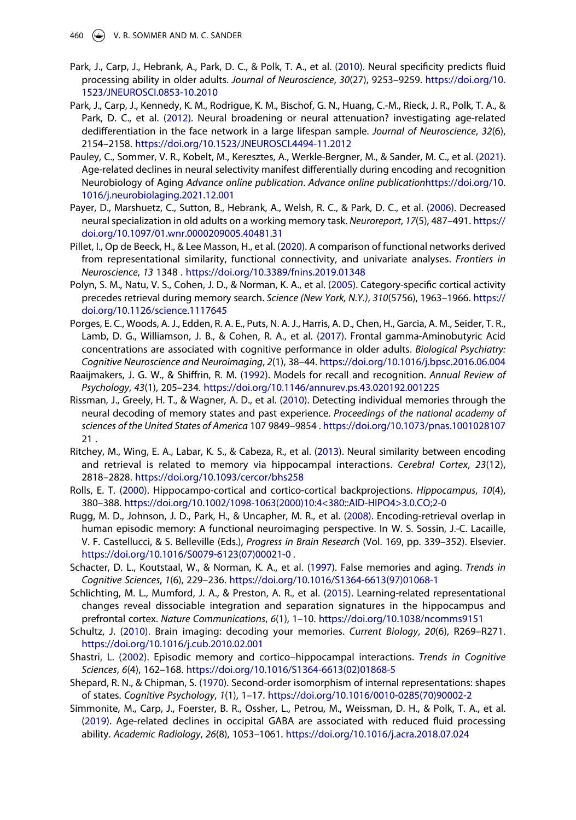- <span id="page-18-14"></span>Park, J., Carp, J., Hebrank, A., Park, D. C., & Polk, T. A., et al. ([2010](#page-9-0)). Neural specificity predicts fluid processing ability in older adults. *Journal of Neuroscience*, *30*(27), 9253–9259. [https://doi.org/10.](https://doi.org/10.1523/JNEUROSCI.0853-10.2010) [1523/JNEUROSCI.0853-10.2010](https://doi.org/10.1523/JNEUROSCI.0853-10.2010)
- <span id="page-18-11"></span>Park, J., Carp, J., Kennedy, K. M., Rodrigue, K. M., Bischof, G. N., Huang, C.-M., Rieck, J. R., Polk, T. A., & Park, D. C., et al. ([2012](#page-9-7)). Neural broadening or neural attenuation? investigating age-related dedifferentiation in the face network in a large lifespan sample. *Journal of Neuroscience*, *32*(6), 2154–2158. <https://doi.org/10.1523/JNEUROSCI.4494-11.2012>
- <span id="page-18-12"></span>Pauley, C., Sommer, V. R., Kobelt, M., Keresztes, A., Werkle-Bergner, M., & Sander, M. C., et al. [\(2021\)](#page-9-7). Age-related declines in neural selectivity manifest differentially during encoding and recognition Neurobiology of Aging *Advance online publication*. *Advance online publication*[https://doi.org/10.](https://doi.org/10.1016/j.neurobiolaging.2021.12.001) [1016/j.neurobiolaging.2021.12.001](https://doi.org/10.1016/j.neurobiolaging.2021.12.001)
- <span id="page-18-13"></span>Payer, D., Marshuetz, C., Sutton, B., Hebrank, A., Welsh, R. C., & Park, D. C., et al. [\(2006](#page-9-7)). Decreased neural specialization in old adults on a working memory task. *Neuroreport*, *17*(5), 487–491. [https://](https://doi.org/10.1097/01.wnr.0000209005.40481.31) [doi.org/10.1097/01.wnr.0000209005.40481.31](https://doi.org/10.1097/01.wnr.0000209005.40481.31)
- <span id="page-18-0"></span>Pillet, I., Op de Beeck, H., & Lee Masson, H., et al. [\(2020\)](#page-2-9). A comparison of functional networks derived from representational similarity, functional connectivity, and univariate analyses. *Frontiers in Neuroscience*, *13* 1348 . <https://doi.org/10.3389/fnins.2019.01348>
- <span id="page-18-3"></span>Polyn, S. M., Natu, V. S., Cohen, J. D., & Norman, K. A., et al. ([2005](#page-3-6)). Category-specific cortical activity precedes retrieval during memory search. *Science (New York, N.Y.)*, *310*(5756), 1963–1966. [https://](https://doi.org/10.1126/science.1117645) [doi.org/10.1126/science.1117645](https://doi.org/10.1126/science.1117645)
- <span id="page-18-16"></span>Porges, E. C., Woods, A. J., Edden, R. A. E., Puts, N. A. J., Harris, A. D., Chen, H., Garcia, A. M., Seider, T. R., Lamb, D. G., Williamson, J. B., & Cohen, R. A., et al. ([2017](#page-12-0)). Frontal gamma-Aminobutyric Acid concentrations are associated with cognitive performance in older adults. *Biological Psychiatry: Cognitive Neuroscience and Neuroimaging*, *2*(1), 38–44. <https://doi.org/10.1016/j.bpsc.2016.06.004>
- <span id="page-18-5"></span>Raaijmakers, J. G. W., & Shiffrin, R. M. ([1992\)](#page-4-4). Models for recall and recognition. *Annual Review of Psychology*, *43*(1), 205–234. <https://doi.org/10.1146/annurev.ps.43.020192.001225>
- <span id="page-18-1"></span>Rissman, J., Greely, H. T., & Wagner, A. D., et al. [\(2010\)](#page-2-7). Detecting individual memories through the neural decoding of memory states and past experience. *Proceedings of the national academy of sciences of the United States of America* 107 9849–9854 . <https://doi.org/10.1073/pnas.1001028107> 21 .
- <span id="page-18-10"></span>Ritchey, M., Wing, E. A., Labar, K. S., & Cabeza, R., et al. ([2013](#page-7-6)). Neural similarity between encoding and retrieval is related to memory via hippocampal interactions. *Cerebral Cortex*, *23*(12), 2818–2828. <https://doi.org/10.1093/cercor/bhs258>
- <span id="page-18-7"></span>Rolls, E. T. ([2000](#page-7-7)). Hippocampo-cortical and cortico-cortical backprojections. *Hippocampus*, *10*(4), 380–388. [https://doi.org/10.1002/1098-1063\(2000\)10:4<380::AID-HIPO4>3.0.CO;2-0](https://doi.org/10.1002/1098-1063(2000)10:4%26#x003C;380::AID-HIPO4%26#x003E;3.0.CO;2-0)
- <span id="page-18-9"></span>Rugg, M. D., Johnson, J. D., Park, H., & Uncapher, M. R., et al. [\(2008\)](#page-7-1). Encoding-retrieval overlap in human episodic memory: A functional neuroimaging perspective. In W. S. Sossin, J.-C. Lacaille, V. F. Castellucci, & S. Belleville (Eds.), *Progress in Brain Research* (Vol. 169, pp. 339–352). Elsevier. [https://doi.org/10.1016/S0079-6123\(07\)00021-0](https://doi.org/10.1016/S0079-6123(07)00021-0) .
- <span id="page-18-15"></span>Schacter, D. L., Koutstaal, W., & Norman, K. A., et al. ([1997](#page-9-2)). False memories and aging. *Trends in Cognitive Sciences*, *1*(6), 229–236. [https://doi.org/10.1016/S1364-6613\(97\)01068-1](https://doi.org/10.1016/S1364-6613(97)01068-1)
- <span id="page-18-6"></span>Schlichting, M. L., Mumford, J. A., & Preston, A. R., et al. ([2015](#page-5-5)). Learning-related representational changes reveal dissociable integration and separation signatures in the hippocampus and prefrontal cortex. *Nature Communications*, *6*(1), 1–10. <https://doi.org/10.1038/ncomms9151>
- <span id="page-18-4"></span>Schultz, J. ([2010](#page-3-7)). Brain imaging: decoding your memories. *Current Biology*, *20*(6), R269–R271. <https://doi.org/10.1016/j.cub.2010.02.001>
- <span id="page-18-8"></span>Shastri, L. ([2002](#page-7-7)). Episodic memory and cortico–hippocampal interactions. *Trends in Cognitive Sciences*, *6*(4), 162–168. [https://doi.org/10.1016/S1364-6613\(02\)01868-5](https://doi.org/10.1016/S1364-6613(02)01868-5)
- <span id="page-18-2"></span>Shepard, R. N., & Chipman, S. [\(1970\)](#page-3-2). Second-order isomorphism of internal representations: shapes of states. *Cognitive Psychology*, *1*(1), 1–17. [https://doi.org/10.1016/0010-0285\(70\)90002-2](https://doi.org/10.1016/0010-0285(70)90002-2)
- <span id="page-18-17"></span>Simmonite, M., Carp, J., Foerster, B. R., Ossher, L., Petrou, M., Weissman, D. H., & Polk, T. A., et al. ([2019](#page-12-0)). Age-related declines in occipital GABA are associated with reduced fluid processing ability. *Academic Radiology*, *26*(8), 1053–1061. <https://doi.org/10.1016/j.acra.2018.07.024>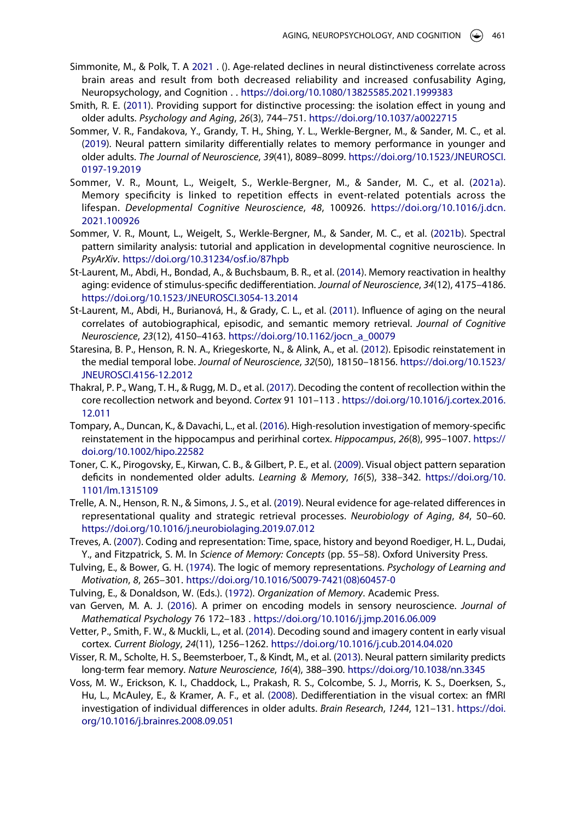- <span id="page-19-18"></span>Simmonite, M., & Polk, T. A [2021](#page-11-10) . (). Age-related declines in neural distinctiveness correlate across brain areas and result from both decreased reliability and increased confusability Aging, Neuropsychology, and Cognition . . <https://doi.org/10.1080/13825585.2021.1999383>
- <span id="page-19-8"></span>Smith, R. E. [\(2011\)](#page-5-3). Providing support for distinctive processing: the isolation effect in young and older adults. *Psychology and Aging*, *26*(3), 744–751. <https://doi.org/10.1037/a0022715>
- <span id="page-19-3"></span>Sommer, V. R., Fandakova, Y., Grandy, T. H., Shing, Y. L., Werkle-Bergner, M., & Sander, M. C., et al. ([2019](#page-2-1)). Neural pattern similarity differentially relates to memory performance in younger and older adults. *The Journal of Neuroscience*, *39*(41), 8089–8099. [https://doi.org/10.1523/JNEUROSCI.](https://doi.org/10.1523/JNEUROSCI.0197-19.2019) [0197-19.2019](https://doi.org/10.1523/JNEUROSCI.0197-19.2019)
- <span id="page-19-12"></span>Sommer, V. R., Mount, L., Weigelt, S., Werkle-Bergner, M., & Sander, M. C., et al. ([2021a\)](#page-10-3). Memory specificity is linked to repetition effects in event-related potentials across the lifespan. *Developmental Cognitive Neuroscience*, *48*, 100926. [https://doi.org/10.1016/j.dcn.](https://doi.org/10.1016/j.dcn.2021.100926) [2021.100926](https://doi.org/10.1016/j.dcn.2021.100926)
- <span id="page-19-0"></span>Sommer, V. R., Mount, L., Weigelt, S., Werkle-Bergner, M., & Sander, M. C., et al. ([2021b](#page-2-10)). Spectral pattern similarity analysis: tutorial and application in developmental cognitive neuroscience. In *PsyArXiv*. <https://doi.org/10.31234/osf.io/87hpb>
- <span id="page-19-14"></span>St-Laurent, M., Abdi, H., Bondad, A., & Buchsbaum, B. R., et al. [\(2014](#page-10-4)). Memory reactivation in healthy aging: evidence of stimulus-specific dedifferentiation. *Journal of Neuroscience*, *34*(12), 4175–4186. <https://doi.org/10.1523/JNEUROSCI.3054-13.2014>
- <span id="page-19-17"></span>St-Laurent, M., Abdi, H., Burianová, H., & Grady, C. L., et al. ([2011](#page-11-1)). Influence of aging on the neural correlates of autobiographical, episodic, and semantic memory retrieval. *Journal of Cognitive Neuroscience*, *23*(12), 4150–4163. [https://doi.org/10.1162/jocn\\_a\\_00079](https://doi.org/10.1162/jocn_a_00079)
- <span id="page-19-9"></span>Staresina, B. P., Henson, R. N. A., Kriegeskorte, N., & Alink, A., et al. ([2012](#page-7-8)). Episodic reinstatement in the medial temporal lobe. *Journal of Neuroscience*, *32*(50), 18150–18156. [https://doi.org/10.1523/](https://doi.org/10.1523/JNEUROSCI.4156-12.2012) [JNEUROSCI.4156-12.2012](https://doi.org/10.1523/JNEUROSCI.4156-12.2012)
- <span id="page-19-15"></span>Thakral, P. P., Wang, T. H., & Rugg, M. D., et al. ([2017](#page-11-11)). Decoding the content of recollection within the core recollection network and beyond. *Cortex* 91 101–113 . [https://doi.org/10.1016/j.cortex.2016.](https://doi.org/10.1016/j.cortex.2016.12.011) [12.011](https://doi.org/10.1016/j.cortex.2016.12.011)
- <span id="page-19-10"></span>Tompary, A., Duncan, K., & Davachi, L., et al. [\(2016](#page-7-8)). High-resolution investigation of memory-specific reinstatement in the hippocampus and perirhinal cortex. *Hippocampus*, *26*(8), 995–1007. [https://](https://doi.org/10.1002/hipo.22582) [doi.org/10.1002/hipo.22582](https://doi.org/10.1002/hipo.22582)
- <span id="page-19-13"></span>Toner, C. K., Pirogovsky, E., Kirwan, C. B., & Gilbert, P. E., et al. ([2009](#page-10-3)). Visual object pattern separation deficits in nondemented older adults. *Learning & Memory*, *16*(5), 338–342. [https://doi.org/10.](https://doi.org/10.1101/lm.1315109) [1101/lm.1315109](https://doi.org/10.1101/lm.1315109)
- <span id="page-19-16"></span>Trelle, A. N., Henson, R. N., & Simons, J. S., et al. [\(2019\)](#page-11-12). Neural evidence for age-related differences in representational quality and strategic retrieval processes. *Neurobiology of Aging*, *84*, 50–60. <https://doi.org/10.1016/j.neurobiolaging.2019.07.012>
- <span id="page-19-1"></span>Treves, A. ([2007](#page-2-2)). Coding and representation: Time, space, history and beyond Roediger, H. L., Dudai, Y., and Fitzpatrick, S. M. In *Science of Memory: Concepts* (pp. 55–58). Oxford University Press.
- <span id="page-19-4"></span>Tulving, E., & Bower, G. H. ([1974](#page-3-3)). The logic of memory representations. *Psychology of Learning and Motivation*, *8*, 265–301. [https://doi.org/10.1016/S0079-7421\(08\)60457-0](https://doi.org/10.1016/S0079-7421(08)60457-0)
- <span id="page-19-6"></span>Tulving, E., & Donaldson, W. (Eds.). [\(1972\)](#page-4-5). *Organization of Memory*. Academic Press.
- <span id="page-19-2"></span>van Gerven, M. A. J. ([2016](#page-2-6)). A primer on encoding models in sensory neuroscience. *Journal of Mathematical Psychology* 76 172–183 . <https://doi.org/10.1016/j.jmp.2016.06.009>
- <span id="page-19-5"></span>Vetter, P., Smith, F. W., & Muckli, L., et al. ([2014](#page-3-6)). Decoding sound and imagery content in early visual cortex. *Current Biology*, *24*(11), 1256–1262. <https://doi.org/10.1016/j.cub.2014.04.020>
- <span id="page-19-7"></span>Visser, R. M., Scholte, H. S., Beemsterboer, T., & Kindt, M., et al. [\(2013](#page-5-6)). Neural pattern similarity predicts long-term fear memory. *Nature Neuroscience*, *16*(4), 388–390. <https://doi.org/10.1038/nn.3345>
- <span id="page-19-11"></span>Voss, M. W., Erickson, K. I., Chaddock, L., Prakash, R. S., Colcombe, S. J., Morris, K. S., Doerksen, S., Hu, L., McAuley, E., & Kramer, A. F., et al. ([2008](#page-9-8)). Dedifferentiation in the visual cortex: an fMRI investigation of individual differences in older adults. *Brain Research*, *1244*, 121–131. [https://doi.](https://doi.org/10.1016/j.brainres.2008.09.051) [org/10.1016/j.brainres.2008.09.051](https://doi.org/10.1016/j.brainres.2008.09.051)